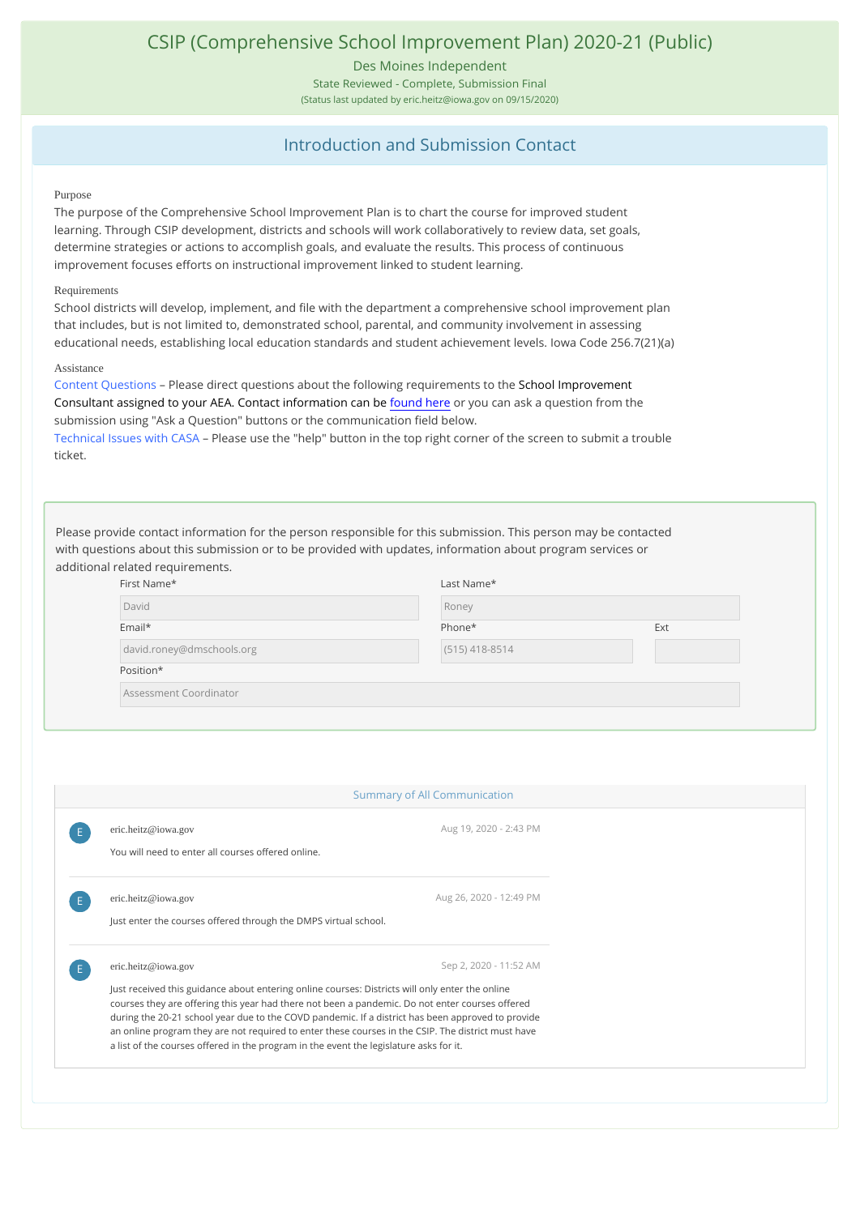## CSIP (Comprehensive School Improvement Plan) 2020-21 (Public)

Des Moines Independent

State Reviewed - Complete, Submission Final

(Status last updated by eric.heitz@iowa.gov on 09/15/2020)

### Introduction and Submission Contact

#### Purpose

The purpose of the Comprehensive School Improvement Plan is to chart the course for improved student learning. Through CSIP development, districts and schools will work collaboratively to review data, set goals, determine strategies or actions to accomplish goals, and evaluate the results. This process of continuous improvement focuses efforts on instructional improvement linked to student learning.

#### Requirements

School districts will develop, implement, and file with the department a comprehensive school improvement plan that includes, but is not limited to, demonstrated school, parental, and community involvement in assessing educational needs, establishing local education standards and student achievement levels. Iowa Code 256.7(21)(a)

#### Assistance

Content Questions - Please direct questions about the following requirements to the School Improvement Consultant assigned to your AEA. Contact information can be [found here](https://educateiowa.gov/documents/data-reporting/2020/07/help-and-support-assignments) or you can ask a question from the submission using "Ask a Question" buttons or the communication field below.

Technical Issues with CASA – Please use the "help" button in the top right corner of the screen to submit a trouble ticket.

Please provide contact information for the person responsible for this submission. This person may be contacted with questions about this submission or to be provided with updates, information about program services or additional related requirements.

| First Name*               | Last Name*       |     |
|---------------------------|------------------|-----|
| David                     | Roney            |     |
| Email*                    | Phone*           | Ext |
| david.roney@dmschools.org | $(515)$ 418-8514 |     |
| Position*                 |                  |     |
| Assessment Coordinator    |                  |     |

| eric.heitz@iowa.gov                                                                             | Aug 19, 2020 - 2:43 PM                                                                                                                                                                                  |
|-------------------------------------------------------------------------------------------------|---------------------------------------------------------------------------------------------------------------------------------------------------------------------------------------------------------|
| You will need to enter all courses offered online.                                              |                                                                                                                                                                                                         |
| eric.heitz@iowa.gov                                                                             | Aug 26, 2020 - 12:49 PM                                                                                                                                                                                 |
| Just enter the courses offered through the DMPS virtual school.                                 |                                                                                                                                                                                                         |
| eric.heitz@iowa.gov                                                                             | Sep 2, 2020 - 11:52 AM                                                                                                                                                                                  |
| Just received this guidance about entering online courses: Districts will only enter the online | courses they are offering this year had there not been a pandemic. Do not enter courses offered                                                                                                         |
|                                                                                                 |                                                                                                                                                                                                         |
|                                                                                                 | during the 20-21 school year due to the COVD pandemic. If a district has been approved to provide<br>an online program they are not required to enter these courses in the CSIP. The district must have |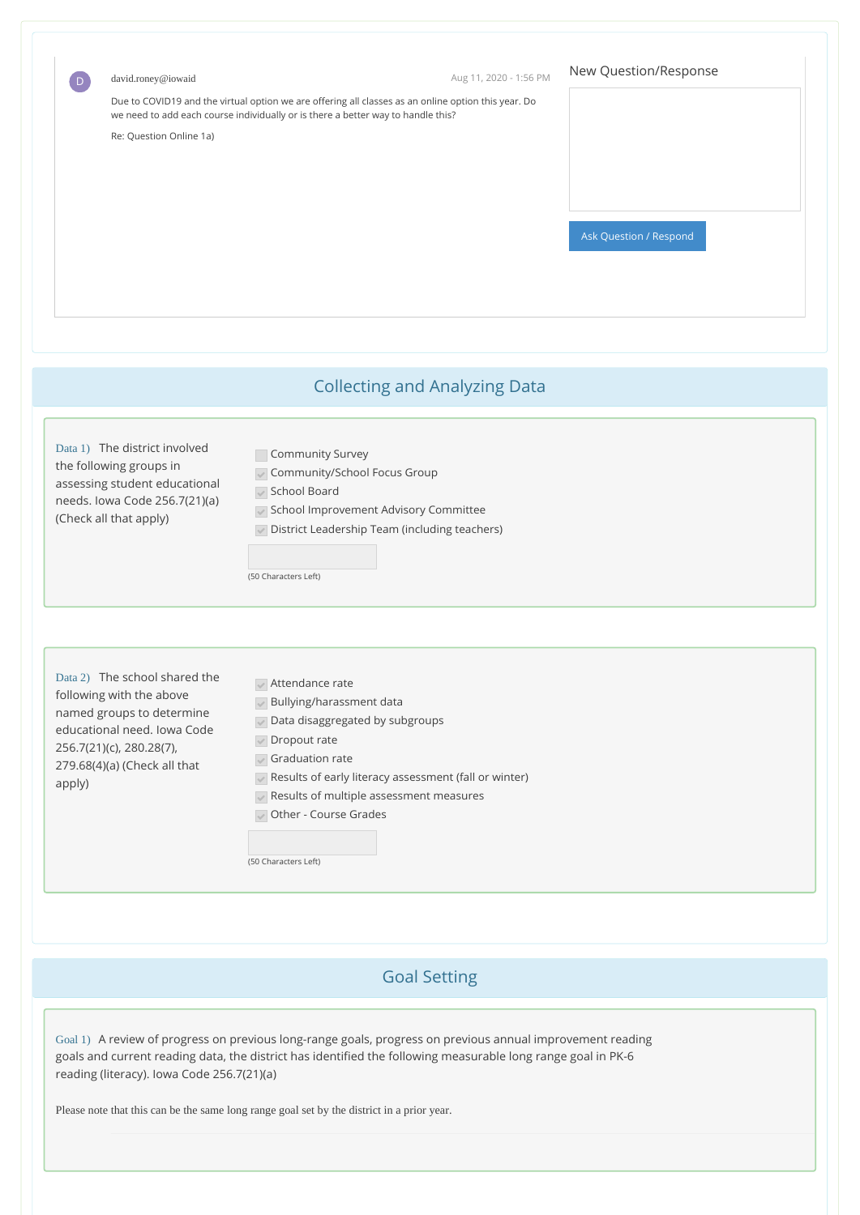| david.roney@iowaid<br>$\boxed{D}$                                                                                                                                                           | Aug 11, 2020 - 1:56 PM                                                                                                                                                                                                                                                                                                                                                        | New Question/Response  |
|---------------------------------------------------------------------------------------------------------------------------------------------------------------------------------------------|-------------------------------------------------------------------------------------------------------------------------------------------------------------------------------------------------------------------------------------------------------------------------------------------------------------------------------------------------------------------------------|------------------------|
| Re: Question Online 1a)                                                                                                                                                                     | Due to COVID19 and the virtual option we are offering all classes as an online option this year. Do<br>we need to add each course individually or is there a better way to handle this?                                                                                                                                                                                       |                        |
|                                                                                                                                                                                             |                                                                                                                                                                                                                                                                                                                                                                               | Ask Question / Respond |
|                                                                                                                                                                                             | <b>Collecting and Analyzing Data</b>                                                                                                                                                                                                                                                                                                                                          |                        |
| Data 1) The district involved<br>the following groups in<br>assessing student educational<br>needs. Iowa Code 256.7(21)(a)<br>(Check all that apply)                                        | Community Survey<br>Community/School Focus Group<br>School Board<br>School Improvement Advisory Committee<br>District Leadership Team (including teachers)<br>$\checkmark$<br>(50 Characters Left)                                                                                                                                                                            |                        |
| Data 2) The school shared the<br>following with the above<br>named groups to determine<br>educational need. Iowa Code<br>256.7(21)(c), 280.28(7),<br>279.68(4)(a) (Check all that<br>apply) | $\sqrt{}$ Attendance rate<br>Bullying/harassment data<br>$\overline{\mathscr{S}}$<br>Data disaggregated by subgroups<br>$\checkmark$<br>Dropout rate<br>$\checkmark$<br>$\sqrt{\phantom{a}}$ Graduation rate<br>Results of early literacy assessment (fall or winter)<br>$\sqrt{\ }$ Results of multiple assessment measures<br>Other - Course Grades<br>(50 Characters Left) |                        |

# Goal Setting

Goal 1) A review of progress on previous long-range goals, progress on previous annual improvement reading goals and current reading data, the district has identified the following measurable long range goal in PK-6 reading (literacy). Iowa Code 256.7(21)(a)

Please note that this can be the same long range goal set by the district in a prior year.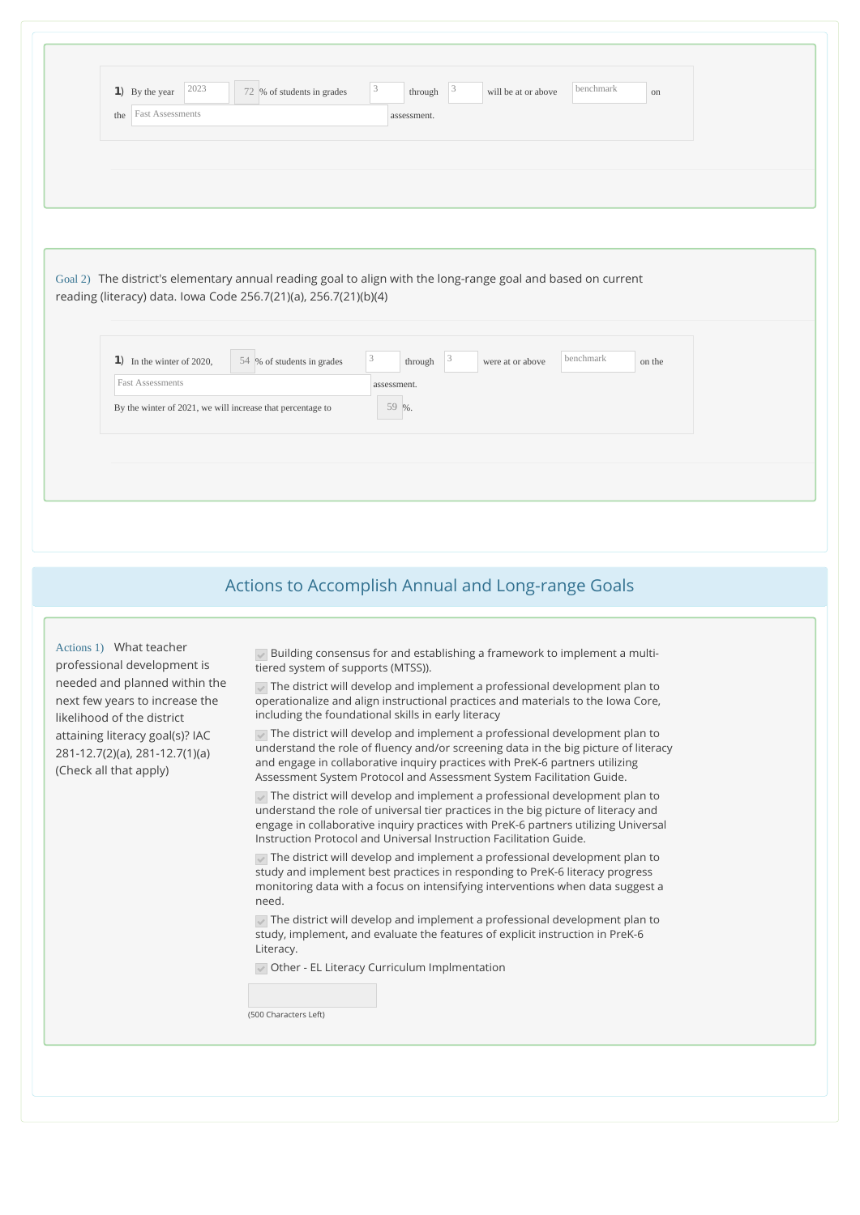| 2023                                                              | $\overline{\mathbf{3}}$<br>benchmark<br>$\vert 3 \vert$                                                                                                                     |  |
|-------------------------------------------------------------------|-----------------------------------------------------------------------------------------------------------------------------------------------------------------------------|--|
| $\bullet$ By the year                                             | through<br>72 % of students in grades<br>will be at or above<br>on                                                                                                          |  |
| <b>Fast Assessments</b><br>the                                    | assessment.                                                                                                                                                                 |  |
|                                                                   |                                                                                                                                                                             |  |
|                                                                   |                                                                                                                                                                             |  |
|                                                                   |                                                                                                                                                                             |  |
|                                                                   |                                                                                                                                                                             |  |
|                                                                   |                                                                                                                                                                             |  |
|                                                                   |                                                                                                                                                                             |  |
|                                                                   | Goal 2) The district's elementary annual reading goal to align with the long-range goal and based on current                                                                |  |
|                                                                   |                                                                                                                                                                             |  |
|                                                                   | reading (literacy) data. Iowa Code 256.7(21)(a), 256.7(21)(b)(4)                                                                                                            |  |
|                                                                   |                                                                                                                                                                             |  |
|                                                                   |                                                                                                                                                                             |  |
| $\vert \mathbf{1} \vert$ In the winter of 2020,                   | 3<br>benchmark<br>$\vert 3 \vert$<br>54 % of students in grades<br>through<br>were at or above<br>on the                                                                    |  |
|                                                                   |                                                                                                                                                                             |  |
| <b>Fast Assessments</b>                                           | assessment.                                                                                                                                                                 |  |
|                                                                   |                                                                                                                                                                             |  |
| By the winter of 2021, we will increase that percentage to        | 59 %.                                                                                                                                                                       |  |
|                                                                   |                                                                                                                                                                             |  |
|                                                                   |                                                                                                                                                                             |  |
|                                                                   |                                                                                                                                                                             |  |
|                                                                   |                                                                                                                                                                             |  |
|                                                                   |                                                                                                                                                                             |  |
|                                                                   |                                                                                                                                                                             |  |
|                                                                   |                                                                                                                                                                             |  |
|                                                                   |                                                                                                                                                                             |  |
|                                                                   |                                                                                                                                                                             |  |
|                                                                   | Actions to Accomplish Annual and Long-range Goals                                                                                                                           |  |
|                                                                   |                                                                                                                                                                             |  |
|                                                                   |                                                                                                                                                                             |  |
| Actions 1) What teacher                                           | Building consensus for and establishing a framework to implement a multi-                                                                                                   |  |
| professional development is                                       | tiered system of supports (MTSS)).                                                                                                                                          |  |
| needed and planned within the                                     | $\sqrt{}$ The district will develop and implement a professional development plan to                                                                                        |  |
| next few years to increase the                                    | operationalize and align instructional practices and materials to the Iowa Core,                                                                                            |  |
| likelihood of the district                                        | including the foundational skills in early literacy                                                                                                                         |  |
| attaining literacy goal(s)? IAC<br>281-12.7(2)(a), 281-12.7(1)(a) | $\sqrt{}$ The district will develop and implement a professional development plan to<br>understand the role of fluency and/or screening data in the big picture of literacy |  |

universal tier practices in the big picture o engage in collaborative inquiry practices with PreK-6 partners utilizing Universal Instruction Protocol and Universal Instruction Facilitation Guide.

 $\sqrt{}$  The district will develop and implement a professional development plan to study and implement best practices in responding to PreK-6 literacy progress monitoring data with a focus on intensifying interventions when data suggest a need.

 $\sqrt{}$  The district will develop and implement a professional development plan to study, implement, and evaluate the features of explicit instruction in PreK-6 Literacy.

Other - EL Literacy Curriculum Implmentation

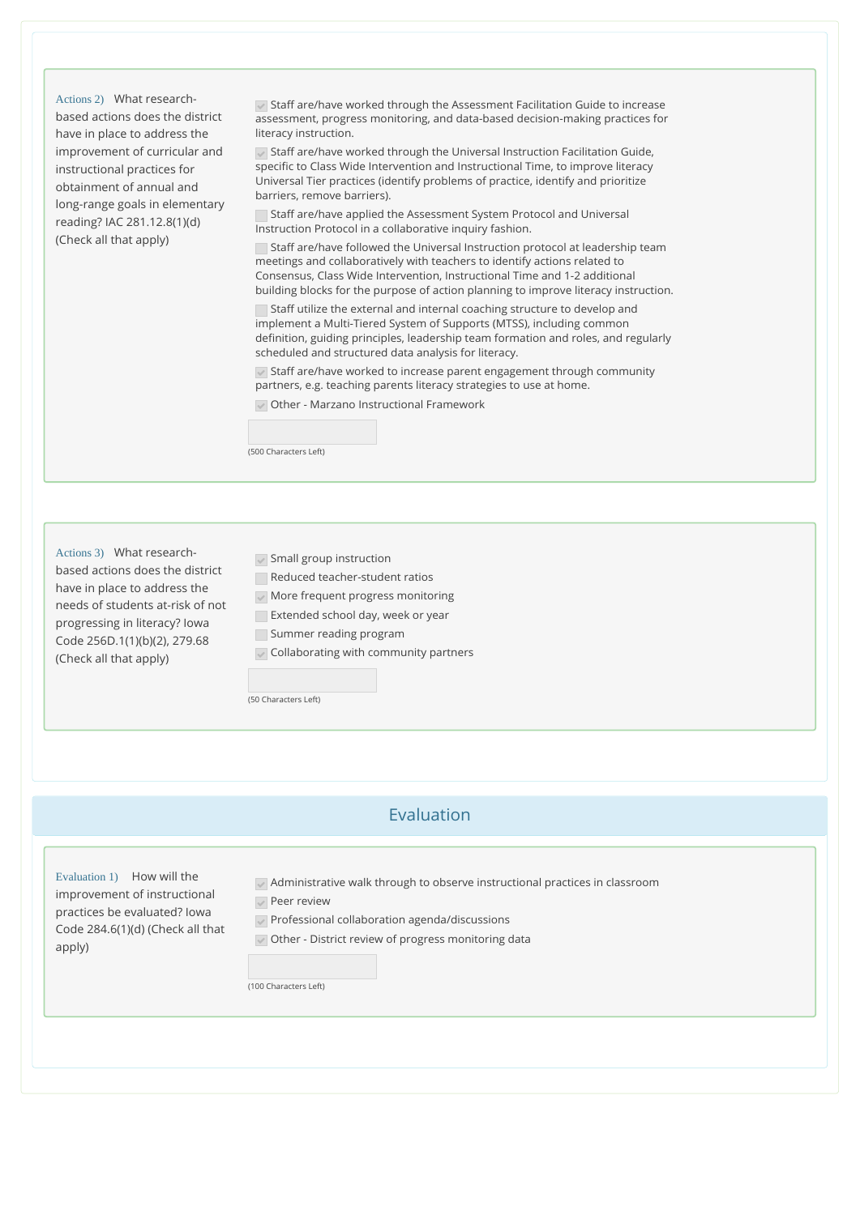Actions 2) What researchbased actions does the district have in place to address the improvement of curricular and instructional practices for obtainment of annual and long-range goals in elementary reading? IAC 281.12.8(1)(d) (Check all that apply)

Staff are/have worked through the Assessment Facilitation Guide to increase assessment, progress monitoring, and data-based decision-making practices for literacy instruction.

 $\blacktriangledown$  Staff are/have worked through the Universal Instruction Facilitation Guide, specific to Class Wide Intervention and Instructional Time, to improve literacy Universal Tier practices (identify problems of practice, identify and prioritize barriers, remove barriers).

Staff are/have applied the Assessment System Protocol and Universal Instruction Protocol in a collaborative inquiry fashion.

Staff are/have followed the Universal Instruction protocol at leadership team meetings and collaboratively with teachers to identify actions related to Consensus, Class Wide Intervention, Instructional Time and 1-2 additional building blocks for the purpose of action planning to improve literacy instruction.

Staff utilize the external and internal coaching structure to develop and implement a Multi-Tiered System of Supports (MTSS), including common definition, guiding principles, leadership team formation and roles, and regularly scheduled and structured data analysis for literacy.

 $\sqrt{\ }$  Staff are/have worked to increase parent engagement through community partners, e.g. teaching parents literacy strategies to use at home.

Other - Marzano Instructional Framework



Actions 3) What researchbased actions does the district have in place to address the needs of students at-risk of not progressing in literacy? Iowa Code 256D.1(1)(b)(2), 279.68 (Check all that apply)

 $\sqrt{\ }$  Small group instruction

Reduced teacher-student ratios

 $\sqrt{\ }$  More frequent progress monitoring **Extended school day, week or year** 

Summer reading program

 $\sqrt{\ }$  Collaborating with community partners

(50 Characters Left)

## Evaluation

Evaluation 1) How will the improvement of instructional practices be evaluated? Iowa Code 284.6(1)(d) (Check all that apply)

Administrative walk through to observe instructional practices in classroom

**Peer review** 

Professional collaboration agenda/discussions

Other - District review of progress monitoring data

(100 Characters Left)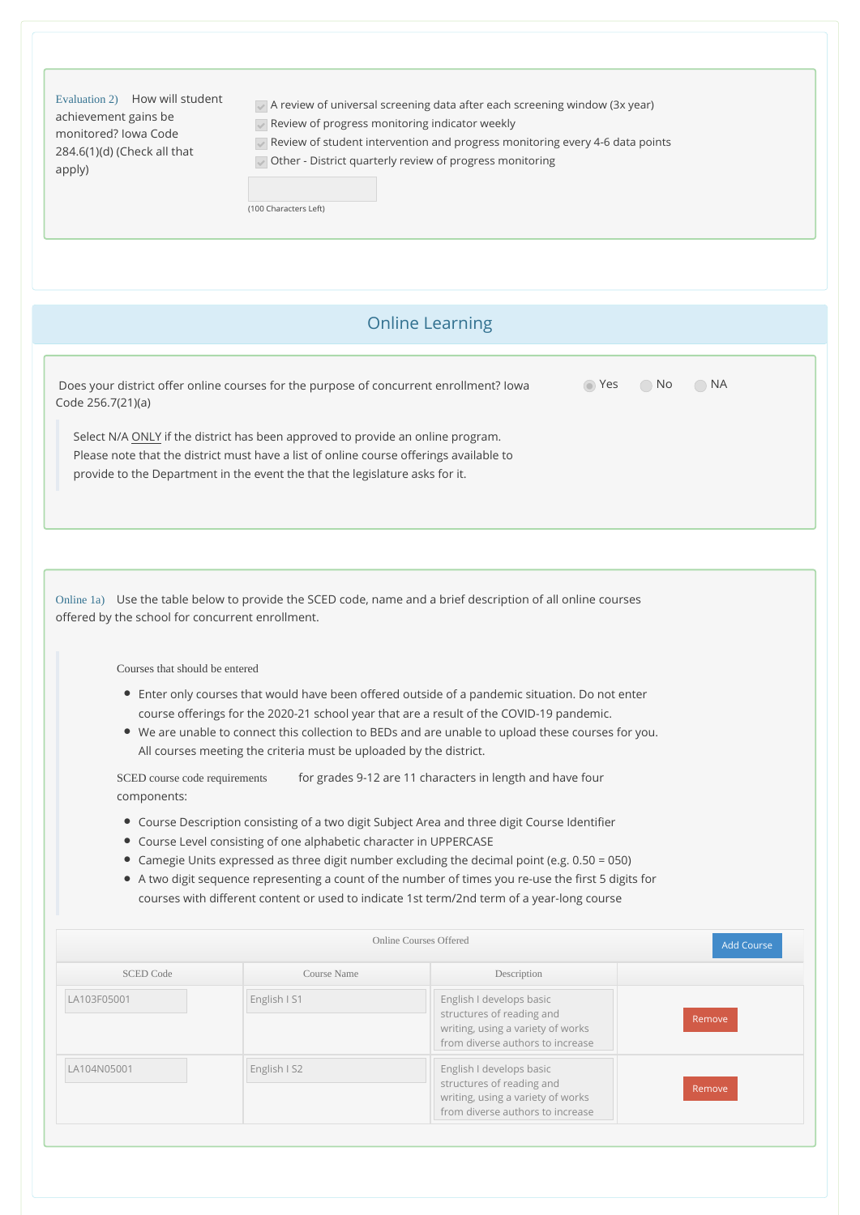| Evaluation 2) How will student<br>achievement gains be<br>monitored? Jowa Code<br>284.6(1)(d) (Check all that<br>apply) | $\sqrt{ }$ A review of universal screening data after each screening window (3x year)<br>Review of progress monitoring indicator weekly<br>$\sqrt{ }$ Review of student intervention and progress monitoring every 4-6 data points<br>Other - District quarterly review of progress monitoring |
|-------------------------------------------------------------------------------------------------------------------------|------------------------------------------------------------------------------------------------------------------------------------------------------------------------------------------------------------------------------------------------------------------------------------------------|
|                                                                                                                         | (100 Characters Left)                                                                                                                                                                                                                                                                          |

### Online Learning

| Does your district offer online courses for the purpose of concurrent enrollment? lowa | ⊙ Yes ⊙ No ⊙ NA |  |
|----------------------------------------------------------------------------------------|-----------------|--|
| Code 256.7(21)(a)                                                                      |                 |  |

Select N/A ONLY if the district has been approved to provide an online program. Please note that the district must have a list of online course offerings available to provide to the Department in the event the that the legislature asks for it.

Online 1a) Use the table below to provide the SCED code, name and a brief description of all online courses offered by the school for concurrent enrollment.

Courses that should be entered

- Enter only courses that would have been offered outside of a pandemic situation. Do not enter course offerings for the 2020-21 school year that are a result of the COVID-19 pandemic.
- We are unable to connect this collection to BEDs and are unable to upload these courses for you. All courses meeting the criteria must be uploaded by the district.

for grades 9-12 are 11 characters in length and have four components: SCED course code requirements

- Course Description consisting of a two digit Subject Area and three digit Course Identifier
- Course Level consisting of one alphabetic character in UPPERCASE
- Camegie Units expressed as three digit number excluding the decimal point (e.g. 0.50 = 050)
- A two digit sequence representing a count of the number of times you re-use the first 5 digits for courses with different content or used to indicate 1st term/2nd term of a year-long course

| Online Courses Offered |              |                                                                                                                                | <b>Add Course</b> |
|------------------------|--------------|--------------------------------------------------------------------------------------------------------------------------------|-------------------|
| <b>SCED Code</b>       | Course Name  | Description                                                                                                                    |                   |
| LA103F05001            | English I S1 | English I develops basic<br>structures of reading and<br>writing, using a variety of works<br>from diverse authors to increase | Remove            |
| LA104N05001            | English I S2 | English I develops basic<br>structures of reading and<br>writing, using a variety of works<br>from diverse authors to increase | Remove            |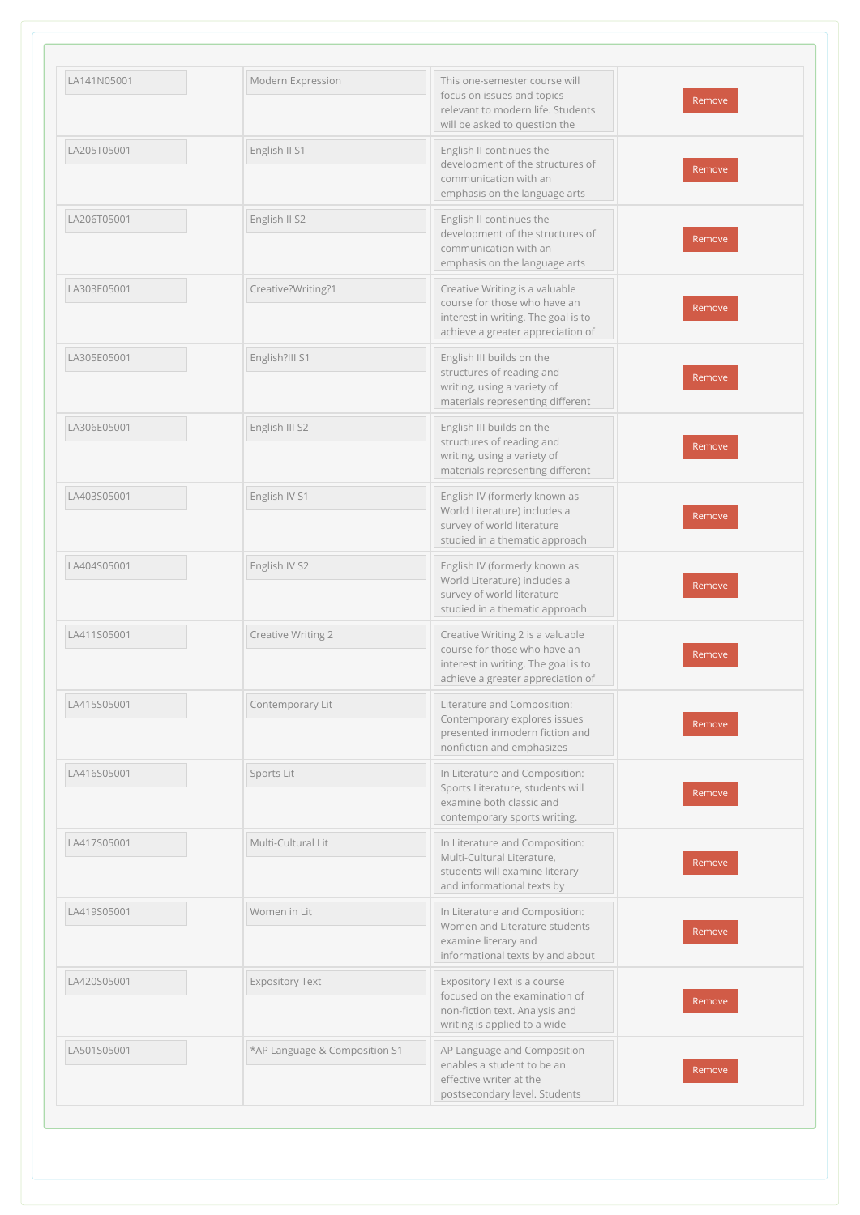| LA141N05001 | Modern Expression             | This one-semester course will<br>focus on issues and topics<br>relevant to modern life. Students<br>will be asked to question the            | Remove |
|-------------|-------------------------------|----------------------------------------------------------------------------------------------------------------------------------------------|--------|
| LA205T05001 | English II S1                 | English II continues the<br>development of the structures of<br>communication with an<br>emphasis on the language arts                       | Remove |
| LA206T05001 | English II S2                 | English II continues the<br>development of the structures of<br>communication with an<br>emphasis on the language arts                       | Remove |
| LA303E05001 | Creative?Writing?1            | Creative Writing is a valuable<br>course for those who have an<br>interest in writing. The goal is to<br>achieve a greater appreciation of   | Remove |
| LA305E05001 | English?III S1                | English III builds on the<br>structures of reading and<br>writing, using a variety of<br>materials representing different                    | Remove |
| LA306E05001 | English III S2                | English III builds on the<br>structures of reading and<br>writing, using a variety of<br>materials representing different                    | Remove |
| LA403S05001 | English IV S1                 | English IV (formerly known as<br>World Literature) includes a<br>survey of world literature<br>studied in a thematic approach                | Remove |
| LA404S05001 | English IV S2                 | English IV (formerly known as<br>World Literature) includes a<br>survey of world literature<br>studied in a thematic approach                | Remove |
| LA411S05001 | Creative Writing 2            | Creative Writing 2 is a valuable<br>course for those who have an<br>interest in writing. The goal is to<br>achieve a greater appreciation of | Remove |
| LA415S05001 | Contemporary Lit              | Literature and Composition:<br>Contemporary explores issues<br>presented inmodern fiction and<br>nonfiction and emphasizes                   | Remove |
| LA416S05001 | Sports Lit                    | In Literature and Composition:<br>Sports Literature, students will<br>examine both classic and<br>contemporary sports writing.               | Remove |
| LA417S05001 | Multi-Cultural Lit            | In Literature and Composition:<br>Multi-Cultural Literature,<br>students will examine literary<br>and informational texts by                 | Remove |
| LA419S05001 | Women in Lit                  | In Literature and Composition:<br>Women and Literature students<br>examine literary and<br>informational texts by and about                  | Remove |
| LA420S05001 | <b>Expository Text</b>        | Expository Text is a course<br>focused on the examination of<br>non-fiction text. Analysis and<br>writing is applied to a wide               | Remove |
| LA501S05001 | *AP Language & Composition S1 | AP Language and Composition<br>enables a student to be an<br>effective writer at the<br>postsecondary level. Students                        | Remove |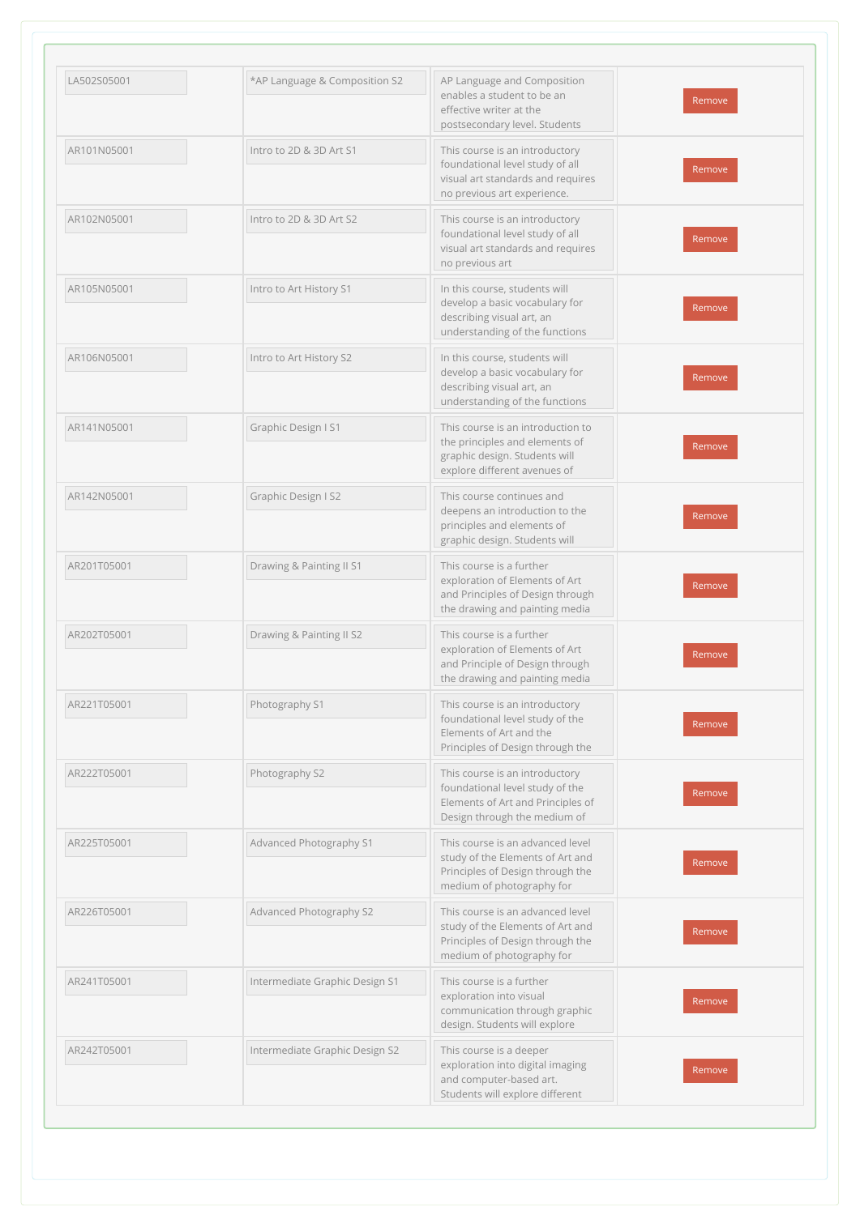| LA502S05001 | *AP Language & Composition S2  | AP Language and Composition<br>enables a student to be an<br>effective writer at the<br>postsecondary level. Students                  | Remove |
|-------------|--------------------------------|----------------------------------------------------------------------------------------------------------------------------------------|--------|
| AR101N05001 | Intro to 2D & 3D Art S1        | This course is an introductory<br>foundational level study of all<br>visual art standards and requires<br>no previous art experience.  | Remove |
| AR102N05001 | Intro to 2D & 3D Art S2        | This course is an introductory<br>foundational level study of all<br>visual art standards and requires<br>no previous art              | Remove |
| AR105N05001 | Intro to Art History S1        | In this course, students will<br>develop a basic vocabulary for<br>describing visual art, an<br>understanding of the functions         | Remove |
| AR106N05001 | Intro to Art History S2        | In this course, students will<br>develop a basic vocabulary for<br>describing visual art, an<br>understanding of the functions         | Remove |
| AR141N05001 | Graphic Design I S1            | This course is an introduction to<br>the principles and elements of<br>graphic design. Students will<br>explore different avenues of   | Remove |
| AR142N05001 | Graphic Design I S2            | This course continues and<br>deepens an introduction to the<br>principles and elements of<br>graphic design. Students will             | Remove |
| AR201T05001 | Drawing & Painting II S1       | This course is a further<br>exploration of Elements of Art<br>and Principles of Design through<br>the drawing and painting media       | Remove |
| AR202T05001 | Drawing & Painting II S2       | This course is a further<br>exploration of Elements of Art<br>and Principle of Design through<br>the drawing and painting media        | Remove |
| AR221T05001 | Photography S1                 | This course is an introductory<br>foundational level study of the<br>Elements of Art and the<br>Principles of Design through the       | Remove |
| AR222T05001 | Photography S2                 | This course is an introductory<br>foundational level study of the<br>Elements of Art and Principles of<br>Design through the medium of | Remove |
| AR225T05001 | Advanced Photography S1        | This course is an advanced level<br>study of the Elements of Art and<br>Principles of Design through the<br>medium of photography for  | Remove |
| AR226T05001 | Advanced Photography S2        | This course is an advanced level<br>study of the Elements of Art and<br>Principles of Design through the<br>medium of photography for  | Remove |
| AR241T05001 | Intermediate Graphic Design S1 | This course is a further<br>exploration into visual<br>communication through graphic<br>design. Students will explore                  | Remove |
| AR242T05001 | Intermediate Graphic Design S2 | This course is a deeper<br>exploration into digital imaging<br>and computer-based art.<br>Students will explore different              | Remove |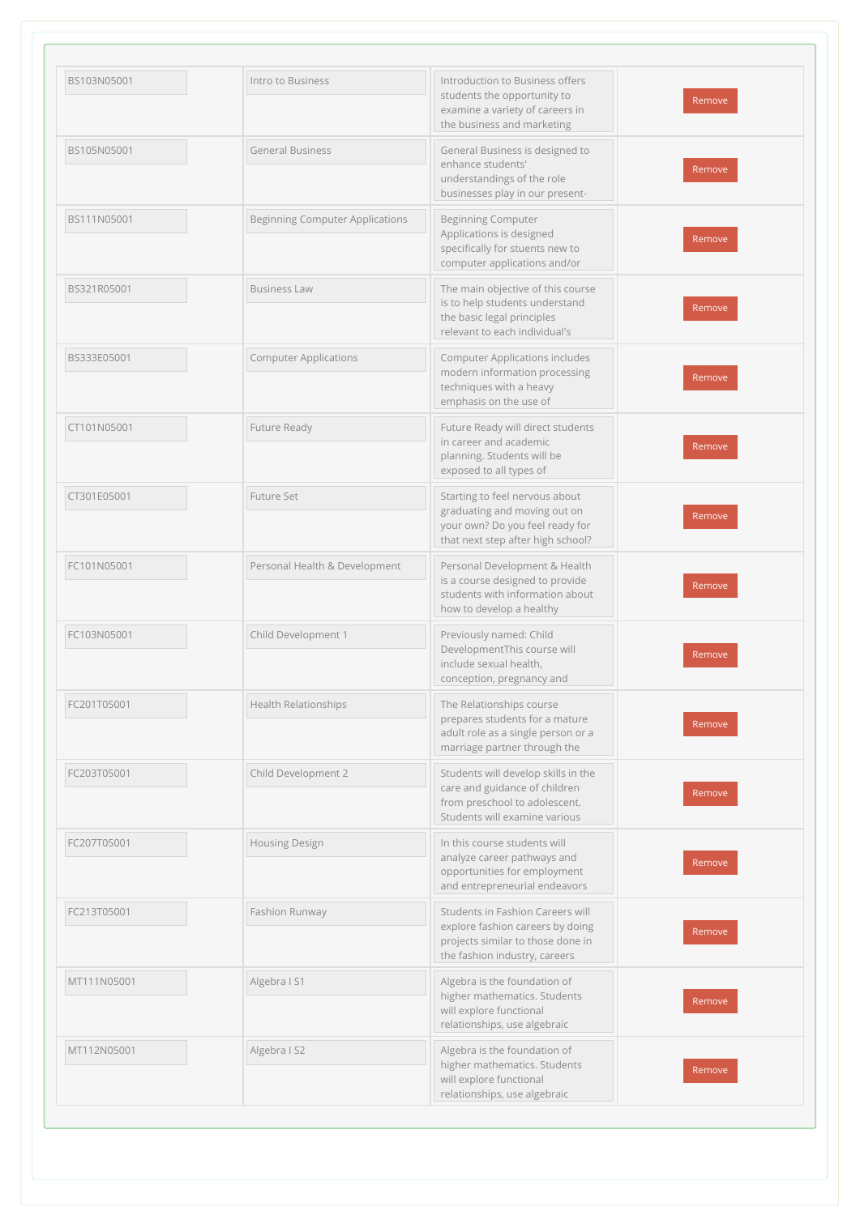| BS103N05001 | Intro to Business                      | Introduction to Business offers                                                                                                            |        |
|-------------|----------------------------------------|--------------------------------------------------------------------------------------------------------------------------------------------|--------|
|             |                                        | students the opportunity to<br>examine a variety of careers in<br>the business and marketing                                               | Remove |
| BS105N05001 | <b>General Business</b>                | General Business is designed to<br>enhance students'<br>understandings of the role<br>businesses play in our present-                      | Remove |
| BS111N05001 | <b>Beginning Computer Applications</b> | <b>Beginning Computer</b><br>Applications is designed<br>specifically for stuents new to<br>computer applications and/or                   | Remove |
| BS321R05001 | <b>Business Law</b>                    | The main objective of this course<br>is to help students understand<br>the basic legal principles<br>relevant to each individual's         | Remove |
| BS333E05001 | <b>Computer Applications</b>           | <b>Computer Applications includes</b><br>modern information processing<br>techniques with a heavy<br>emphasis on the use of                | Remove |
| CT101N05001 | Future Ready                           | Future Ready will direct students<br>in career and academic<br>planning. Students will be<br>exposed to all types of                       | Remove |
| CT301E05001 | Future Set                             | Starting to feel nervous about<br>graduating and moving out on<br>your own? Do you feel ready for<br>that next step after high school?     | Remove |
| FC101N05001 | Personal Health & Development          | Personal Development & Health<br>is a course designed to provide<br>students with information about<br>how to develop a healthy            | Remove |
| FC103N05001 | Child Development 1                    | Previously named: Child<br>DevelopmentThis course will<br>include sexual health,<br>conception, pregnancy and                              | Remove |
| FC201T05001 | <b>Health Relationships</b>            | The Relationships course<br>prepares students for a mature<br>adult role as a single person or a<br>marriage partner through the           | Remove |
| FC203T05001 | Child Development 2                    | Students will develop skills in the<br>care and guidance of children<br>from preschool to adolescent.<br>Students will examine various     | Remove |
| FC207T05001 | Housing Design                         | In this course students will<br>analyze career pathways and<br>opportunities for employment<br>and entrepreneurial endeavors               | Remove |
| FC213T05001 | Fashion Runway                         | Students in Fashion Careers will<br>explore fashion careers by doing<br>projects similar to those done in<br>the fashion industry, careers | Remove |
| MT111N05001 | Algebra I S1                           | Algebra is the foundation of<br>higher mathematics. Students<br>will explore functional<br>relationships, use algebraic                    | Remove |
| MT112N05001 | Algebra I S2                           | Algebra is the foundation of<br>higher mathematics. Students<br>will explore functional<br>relationships, use algebraic                    | Remove |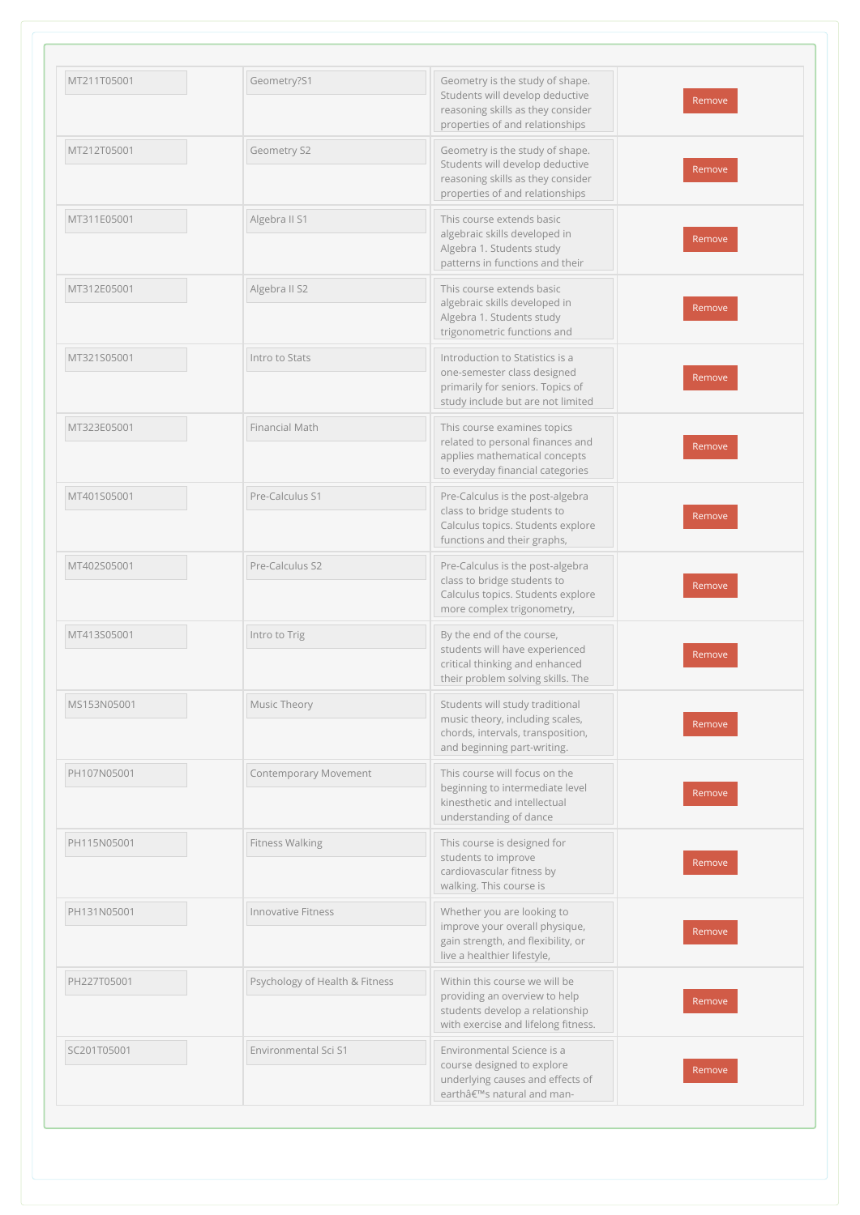| MT211T05001 | Geometry?S1                    | Geometry is the study of shape.                                                                                                            |        |
|-------------|--------------------------------|--------------------------------------------------------------------------------------------------------------------------------------------|--------|
|             |                                | Students will develop deductive<br>reasoning skills as they consider<br>properties of and relationships                                    | Remove |
| MT212T05001 | Geometry S2                    | Geometry is the study of shape.<br>Students will develop deductive<br>reasoning skills as they consider<br>properties of and relationships | Remove |
| MT311E05001 | Algebra II S1                  | This course extends basic<br>algebraic skills developed in<br>Algebra 1. Students study<br>patterns in functions and their                 | Remove |
| MT312E05001 | Algebra II S2                  | This course extends basic<br>algebraic skills developed in<br>Algebra 1. Students study<br>trigonometric functions and                     | Remove |
| MT321S05001 | Intro to Stats                 | Introduction to Statistics is a<br>one-semester class designed<br>primarily for seniors. Topics of<br>study include but are not limited    | Remove |
| MT323E05001 | Financial Math                 | This course examines topics<br>related to personal finances and<br>applies mathematical concepts<br>to everyday financial categories       | Remove |
| MT401S05001 | Pre-Calculus S1                | Pre-Calculus is the post-algebra<br>class to bridge students to<br>Calculus topics. Students explore<br>functions and their graphs,        | Remove |
| MT402S05001 | Pre-Calculus S2                | Pre-Calculus is the post-algebra<br>class to bridge students to<br>Calculus topics. Students explore<br>more complex trigonometry,         | Remove |
| MT413S05001 | Intro to Trig                  | By the end of the course,<br>students will have experienced<br>critical thinking and enhanced<br>their problem solving skills. The         | Remove |
| MS153N05001 | Music Theory                   | Students will study traditional<br>music theory, including scales,<br>chords, intervals, transposition,<br>and beginning part-writing.     | Remove |
| PH107N05001 | Contemporary Movement          | This course will focus on the<br>beginning to intermediate level<br>kinesthetic and intellectual<br>understanding of dance                 | Remove |
| PH115N05001 | <b>Fitness Walking</b>         | This course is designed for<br>students to improve<br>cardiovascular fitness by<br>walking. This course is                                 | Remove |
| PH131N05001 | Innovative Fitness             | Whether you are looking to<br>improve your overall physique,<br>gain strength, and flexibility, or<br>live a healthier lifestyle,          | Remove |
| PH227T05001 | Psychology of Health & Fitness | Within this course we will be<br>providing an overview to help<br>students develop a relationship<br>with exercise and lifelong fitness.   | Remove |
| SC201T05001 | Environmental Sci S1           | Environmental Science is a<br>course designed to explore<br>underlying causes and effects of<br>earth's natural and man-                   | Remove |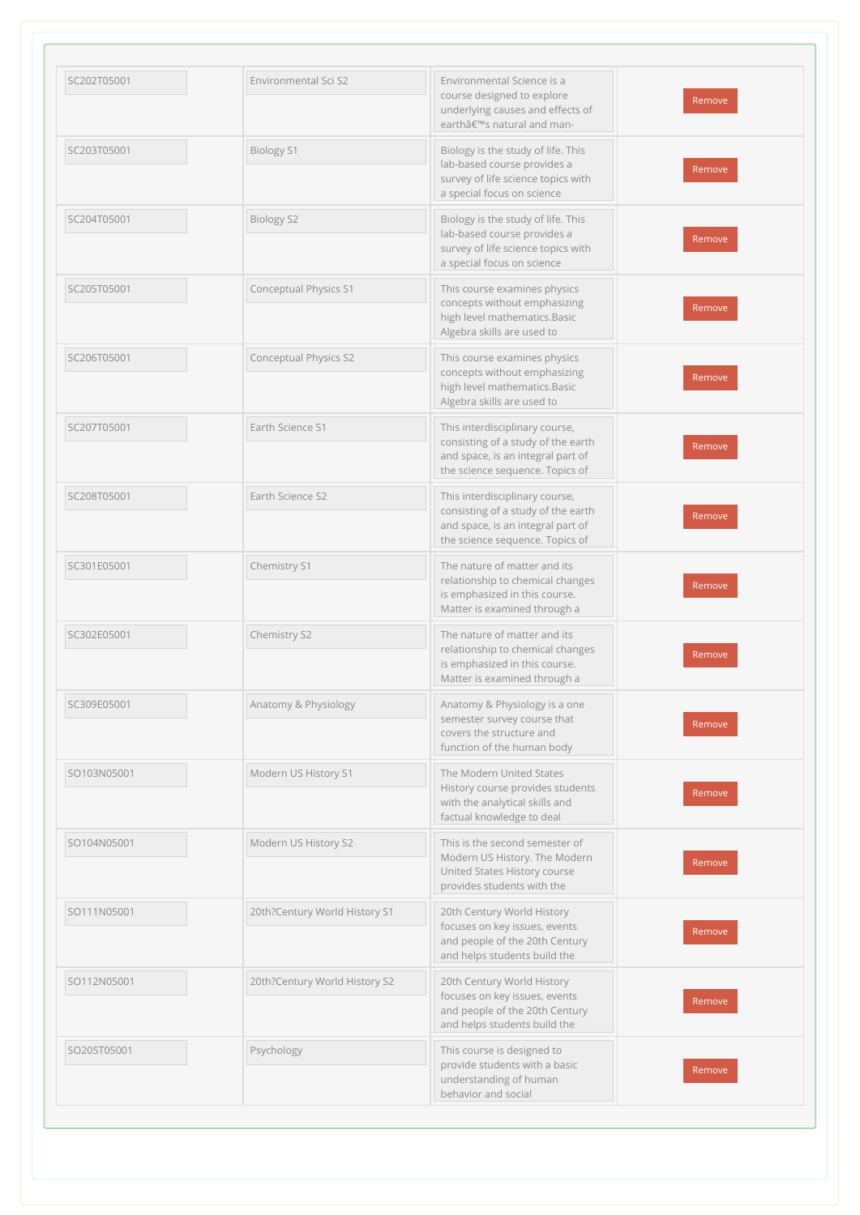| SC202T05001 | Environmental Sci S2          | Environmental Science is a<br>course designed to explore<br>underlying causes and effects of<br>earthâ€ <sup>™</sup> s natural and man-      | Remove |
|-------------|-------------------------------|----------------------------------------------------------------------------------------------------------------------------------------------|--------|
| SC203T05001 | <b>Biology S1</b>             | Biology is the study of life. This<br>lab-based course provides a<br>survey of life science topics with<br>a special focus on science        | Remove |
| SC204T05001 | <b>Biology S2</b>             | Biology is the study of life. This<br>lab-based course provides a<br>survey of life science topics with<br>a special focus on science        | Remove |
| SC205T05001 | Conceptual Physics S1         | This course examines physics<br>concepts without emphasizing<br>high level mathematics.Basic<br>Algebra skills are used to                   | Remove |
| SC206T05001 | Conceptual Physics S2         | This course examines physics<br>concepts without emphasizing<br>high level mathematics.Basic<br>Algebra skills are used to                   | Remove |
| SC207T05001 | Earth Science S1              | This interdisciplinary course,<br>consisting of a study of the earth<br>and space, is an integral part of<br>the science sequence. Topics of | Remove |
| SC208T05001 | Earth Science S2              | This interdisciplinary course,<br>consisting of a study of the earth<br>and space, is an integral part of<br>the science sequence. Topics of | Remove |
| SC301E05001 | Chemistry S1                  | The nature of matter and its<br>relationship to chemical changes<br>is emphasized in this course.<br>Matter is examined through a            | Remove |
| SC302E05001 | Chemistry S2                  | The nature of matter and its<br>relationship to chemical changes<br>is emphasized in this course.<br>Matter is examined through a            | Remove |
| SC309E05001 | Anatomy & Physiology          | Anatomy & Physiology is a one<br>semester survey course that<br>covers the structure and<br>function of the human body                       | Remove |
| SO103N05001 | Modern US History S1          | The Modern United States<br>History course provides students<br>with the analytical skills and<br>factual knowledge to deal                  | Remove |
| SO104N05001 | Modern US History S2          | This is the second semester of<br>Modern US History. The Modern<br>United States History course<br>provides students with the                | Remove |
| SO111N05001 | 20th?Century World History S1 | 20th Century World History<br>focuses on key issues, events<br>and people of the 20th Century<br>and helps students build the                | Remove |
| SO112N05001 | 20th?Century World History S2 | 20th Century World History<br>focuses on key issues, events<br>and people of the 20th Century<br>and helps students build the                | Remove |
| SO205T05001 | Psychology                    | This course is designed to<br>provide students with a basic<br>understanding of human<br>behavior and social                                 | Remove |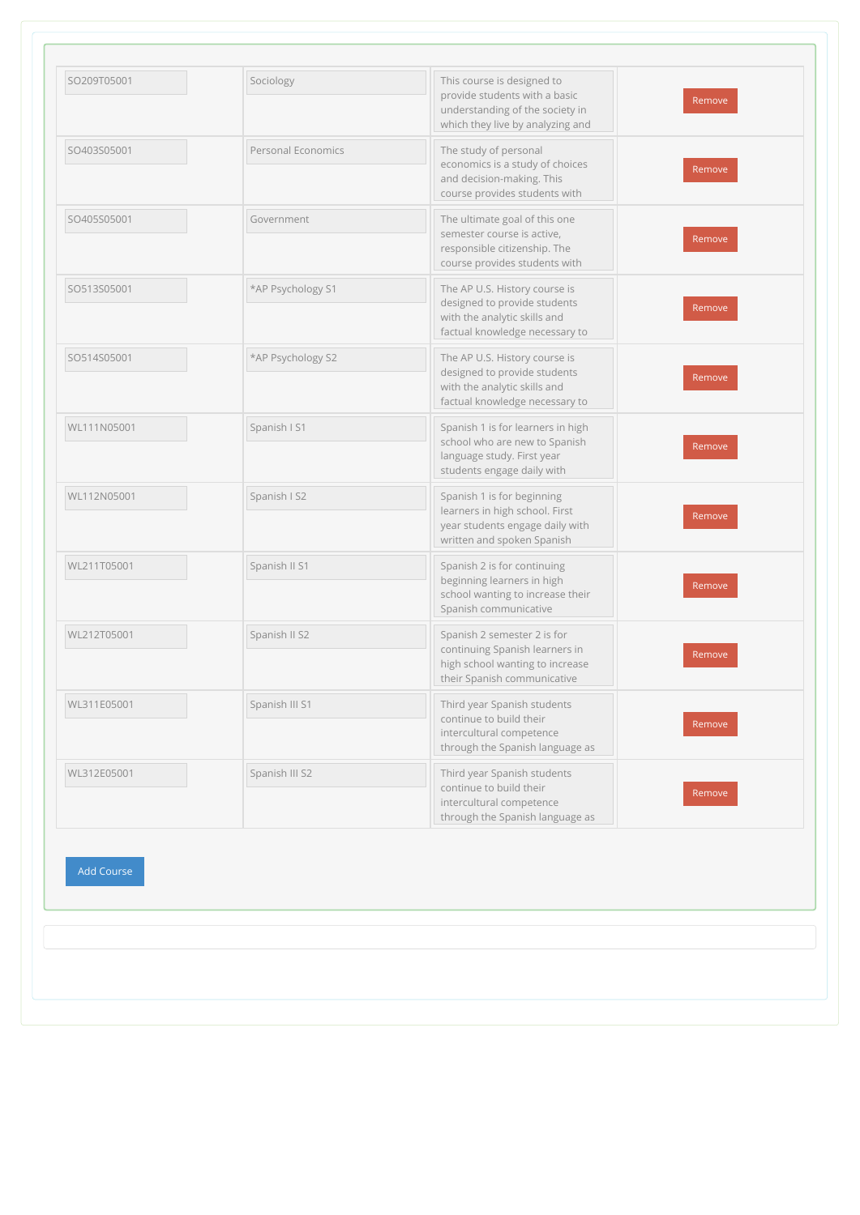| SO209T05001       | Sociology          | This course is designed to<br>provide students with a basic<br>understanding of the society in<br>which they live by analyzing and | Remove |
|-------------------|--------------------|------------------------------------------------------------------------------------------------------------------------------------|--------|
| SO403S05001       | Personal Economics | The study of personal<br>economics is a study of choices<br>and decision-making. This<br>course provides students with             | Remove |
| SO405S05001       | Government         | The ultimate goal of this one<br>semester course is active,<br>responsible citizenship. The<br>course provides students with       | Remove |
| SO513S05001       | *AP Psychology S1  | The AP U.S. History course is<br>designed to provide students<br>with the analytic skills and<br>factual knowledge necessary to    | Remove |
| SO514S05001       | *AP Psychology S2  | The AP U.S. History course is<br>designed to provide students<br>with the analytic skills and<br>factual knowledge necessary to    | Remove |
| WL111N05001       | Spanish I S1       | Spanish 1 is for learners in high<br>school who are new to Spanish<br>language study. First year<br>students engage daily with     | Remove |
| WL112N05001       | Spanish I S2       | Spanish 1 is for beginning<br>learners in high school. First<br>year students engage daily with<br>written and spoken Spanish      | Remove |
| WL211T05001       | Spanish II S1      | Spanish 2 is for continuing<br>beginning learners in high<br>school wanting to increase their<br>Spanish communicative             | Remove |
| WL212T05001       | Spanish II S2      | Spanish 2 semester 2 is for<br>continuing Spanish learners in<br>high school wanting to increase<br>their Spanish communicative    | Remove |
| WL311E05001       | Spanish III S1     | Third year Spanish students<br>continue to build their<br>intercultural competence<br>through the Spanish language as              | Remove |
| WL312E05001       | Spanish III S2     | Third year Spanish students<br>continue to build their<br>intercultural competence<br>through the Spanish language as              | Remove |
| <b>Add Course</b> |                    |                                                                                                                                    |        |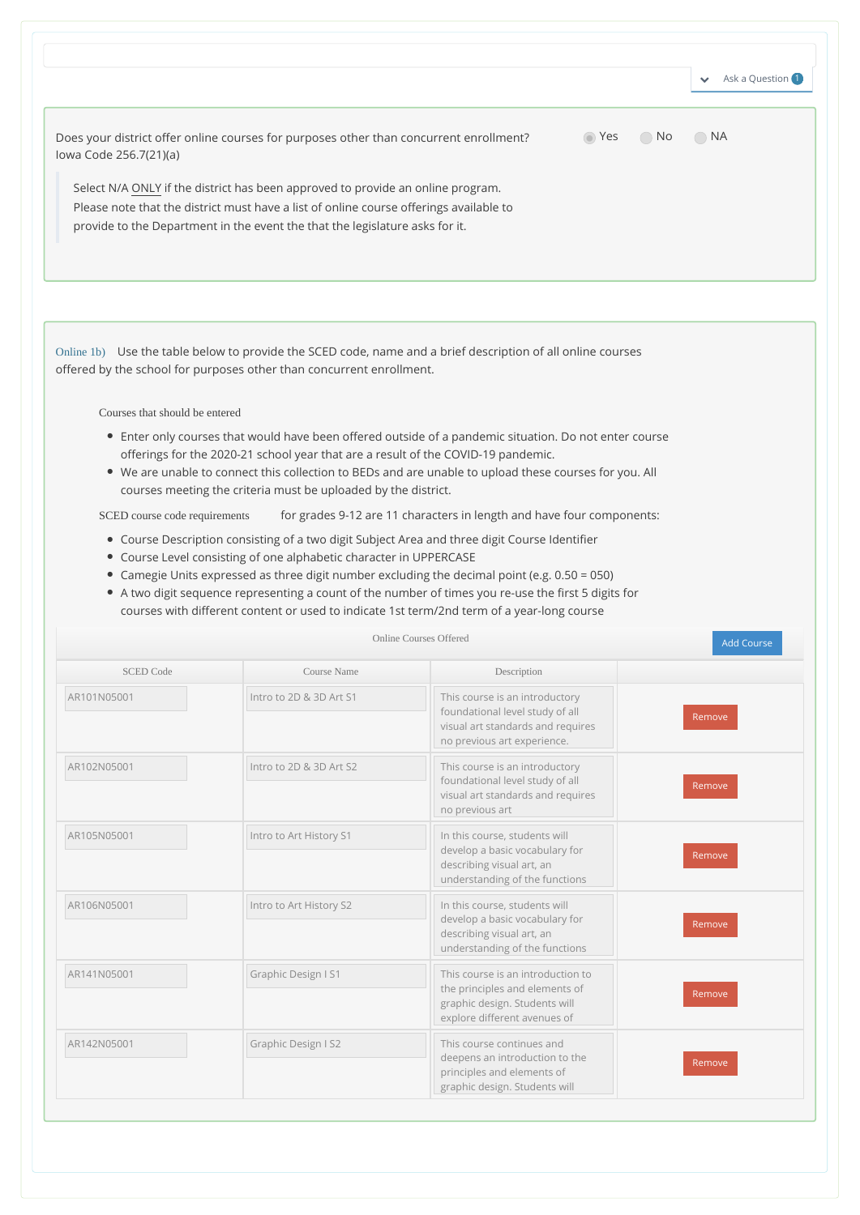|                                                                                                                                                                                                                                                           |       |      | Ask a Question 1<br>$\checkmark$ |
|-----------------------------------------------------------------------------------------------------------------------------------------------------------------------------------------------------------------------------------------------------------|-------|------|----------------------------------|
| Does your district offer online courses for purposes other than concurrent enrollment?<br>lowa Code 256.7(21)(a)                                                                                                                                          | ∩ Yes | ∴ No | $\bigcirc$ NA                    |
| Select N/A ONLY if the district has been approved to provide an online program.<br>Please note that the district must have a list of online course offerings available to<br>provide to the Department in the event the that the legislature asks for it. |       |      |                                  |
|                                                                                                                                                                                                                                                           |       |      |                                  |

Online 1b) Use the table below to provide the SCED code, name and a brief description of all online courses offered by the school for purposes other than concurrent enrollment.

Courses that should be entered

- Enter only courses that would have been offered outside of a pandemic situation. Do not enter course offerings for the 2020-21 school year that are a result of the COVID-19 pandemic.
- We are unable to connect this collection to BEDs and are unable to upload these courses for you. All courses meeting the criteria must be uploaded by the district.

SCED course code requirements for grades 9-12 are 11 characters in length and have four components:

- Course Description consisting of a two digit Subject Area and three digit Course Identifier
- Course Level consisting of one alphabetic character in UPPERCASE
- Camegie Units expressed as three digit number excluding the decimal point (e.g. 0.50 = 050)
- A two digit sequence representing a count of the number of times you re-use the first 5 digits for courses with different content or used to indicate 1st term/2nd term of a year-long course

| <b>SCED Code</b> | Course Name             | Description                                                                                                                           |        |
|------------------|-------------------------|---------------------------------------------------------------------------------------------------------------------------------------|--------|
| AR101N05001      | Intro to 2D & 3D Art S1 | This course is an introductory<br>foundational level study of all<br>visual art standards and requires<br>no previous art experience. | Remove |
| AR102N05001      | Intro to 2D & 3D Art S2 | This course is an introductory<br>foundational level study of all<br>visual art standards and requires<br>no previous art             | Remove |
| AR105N05001      | Intro to Art History S1 | In this course, students will<br>develop a basic vocabulary for<br>describing visual art, an<br>understanding of the functions        | Remove |
| AR106N05001      | Intro to Art History S2 | In this course, students will<br>develop a basic vocabulary for<br>describing visual art, an<br>understanding of the functions        | Remove |
| AR141N05001      | Graphic Design I S1     | This course is an introduction to<br>the principles and elements of<br>graphic design. Students will<br>explore different avenues of  | Remove |
| AR142N05001      | Graphic Design I S2     | This course continues and<br>deepens an introduction to the<br>principles and elements of<br>graphic design. Students will            | Remove |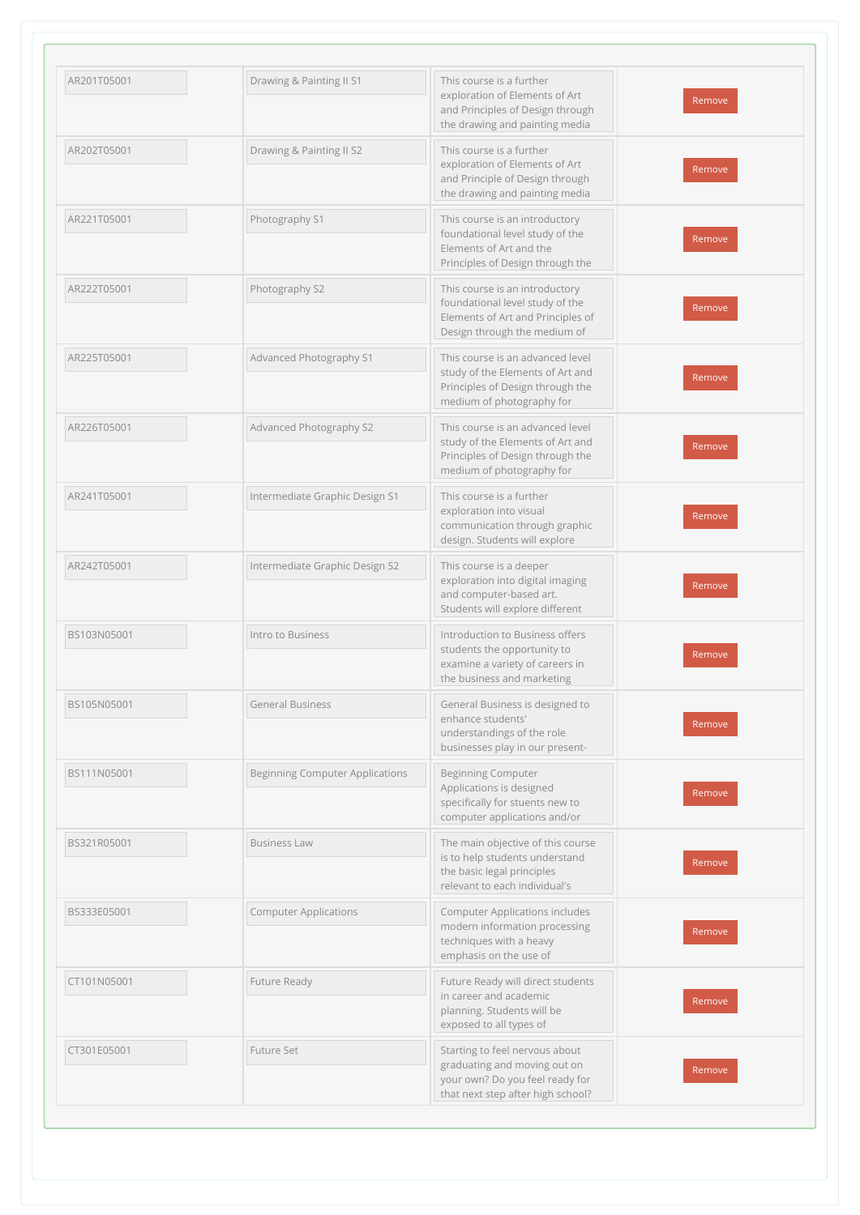| AR201T05001 | Drawing & Painting II S1               | This course is a further<br>exploration of Elements of Art           | Remove |
|-------------|----------------------------------------|----------------------------------------------------------------------|--------|
|             |                                        | and Principles of Design through<br>the drawing and painting media   |        |
| AR202T05001 | Drawing & Painting II S2               | This course is a further<br>exploration of Elements of Art           |        |
|             |                                        | and Principle of Design through<br>the drawing and painting media    | Remove |
| AR221T05001 | Photography S1                         | This course is an introductory<br>foundational level study of the    |        |
|             |                                        | Elements of Art and the<br>Principles of Design through the          | Remove |
| AR222T05001 | Photography S2                         | This course is an introductory<br>foundational level study of the    |        |
|             |                                        | Elements of Art and Principles of<br>Design through the medium of    | Remove |
| AR225T05001 | Advanced Photography S1                | This course is an advanced level<br>study of the Elements of Art and |        |
|             |                                        | Principles of Design through the<br>medium of photography for        | Remove |
| AR226T05001 | Advanced Photography S2                | This course is an advanced level<br>study of the Elements of Art and | Remove |
|             |                                        | Principles of Design through the<br>medium of photography for        |        |
| AR241T05001 | Intermediate Graphic Design S1         | This course is a further<br>exploration into visual                  | Remove |
|             |                                        | communication through graphic<br>design. Students will explore       |        |
| AR242T05001 | Intermediate Graphic Design S2         | This course is a deeper<br>exploration into digital imaging          |        |
|             |                                        | and computer-based art.<br>Students will explore different           | Remove |
| BS103N05001 | Intro to Business                      | Introduction to Business offers<br>students the opportunity to       | Remove |
|             |                                        | examine a variety of careers in<br>the business and marketing        |        |
| BS105N05001 | <b>General Business</b>                | General Business is designed to<br>enhance students'                 |        |
|             |                                        | understandings of the role<br>businesses play in our present-        | Remove |
| BS111N05001 | <b>Beginning Computer Applications</b> | <b>Beginning Computer</b><br>Applications is designed                |        |
|             |                                        | specifically for stuents new to<br>computer applications and/or      | Remove |
| BS321R05001 | <b>Business Law</b>                    | The main objective of this course<br>is to help students understand  |        |
|             |                                        | the basic legal principles<br>relevant to each individual's          | Remove |
| BS333E05001 | <b>Computer Applications</b>           | Computer Applications includes<br>modern information processing      |        |
|             |                                        | techniques with a heavy<br>emphasis on the use of                    | Remove |
| CT101N05001 | Future Ready                           | Future Ready will direct students<br>in career and academic          |        |
|             |                                        | planning. Students will be<br>exposed to all types of                | Remove |
| CT301E05001 | Future Set                             | Starting to feel nervous about<br>graduating and moving out on       |        |
|             |                                        | your own? Do you feel ready for<br>that next step after high school? | Remove |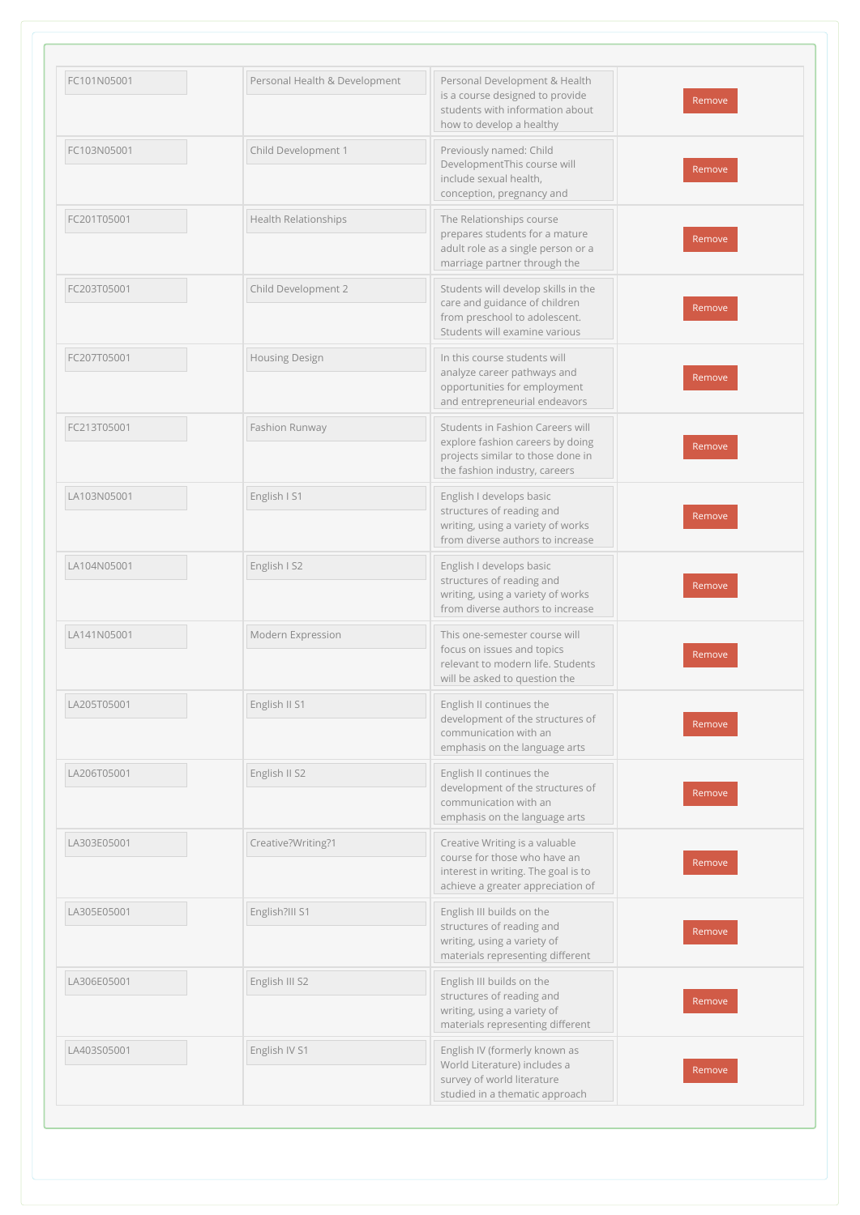| FC101N05001 | Personal Health & Development | Personal Development & Health<br>is a course designed to provide<br>students with information about<br>how to develop a healthy            | Remove |
|-------------|-------------------------------|--------------------------------------------------------------------------------------------------------------------------------------------|--------|
| FC103N05001 | Child Development 1           | Previously named: Child<br>DevelopmentThis course will<br>include sexual health,<br>conception, pregnancy and                              | Remove |
| FC201T05001 | Health Relationships          | The Relationships course<br>prepares students for a mature<br>adult role as a single person or a<br>marriage partner through the           | Remove |
| FC203T05001 | Child Development 2           | Students will develop skills in the<br>care and guidance of children<br>from preschool to adolescent.<br>Students will examine various     | Remove |
| FC207T05001 | <b>Housing Design</b>         | In this course students will<br>analyze career pathways and<br>opportunities for employment<br>and entrepreneurial endeavors               | Remove |
| FC213T05001 | Fashion Runway                | Students in Fashion Careers will<br>explore fashion careers by doing<br>projects similar to those done in<br>the fashion industry, careers | Remove |
| LA103N05001 | English I S1                  | English I develops basic<br>structures of reading and<br>writing, using a variety of works<br>from diverse authors to increase             | Remove |
| LA104N05001 | English I S2                  | English I develops basic<br>structures of reading and<br>writing, using a variety of works<br>from diverse authors to increase             | Remove |
| LA141N05001 | Modern Expression             | This one-semester course will<br>focus on issues and topics<br>relevant to modern life. Students<br>will be asked to question the          | Remove |
| LA205T05001 | English II S1                 | English II continues the<br>development of the structures of<br>communication with an<br>emphasis on the language arts                     | Remove |
| LA206T05001 | English II S2                 | English II continues the<br>development of the structures of<br>communication with an<br>emphasis on the language arts                     | Remove |
| LA303E05001 | Creative?Writing?1            | Creative Writing is a valuable<br>course for those who have an<br>interest in writing. The goal is to<br>achieve a greater appreciation of | Remove |
| LA305E05001 | English?III S1                | English III builds on the<br>structures of reading and<br>writing, using a variety of<br>materials representing different                  | Remove |
| LA306E05001 | English III S2                | English III builds on the<br>structures of reading and<br>writing, using a variety of<br>materials representing different                  | Remove |
| LA403S05001 | English IV S1                 | English IV (formerly known as<br>World Literature) includes a<br>survey of world literature<br>studied in a thematic approach              | Remove |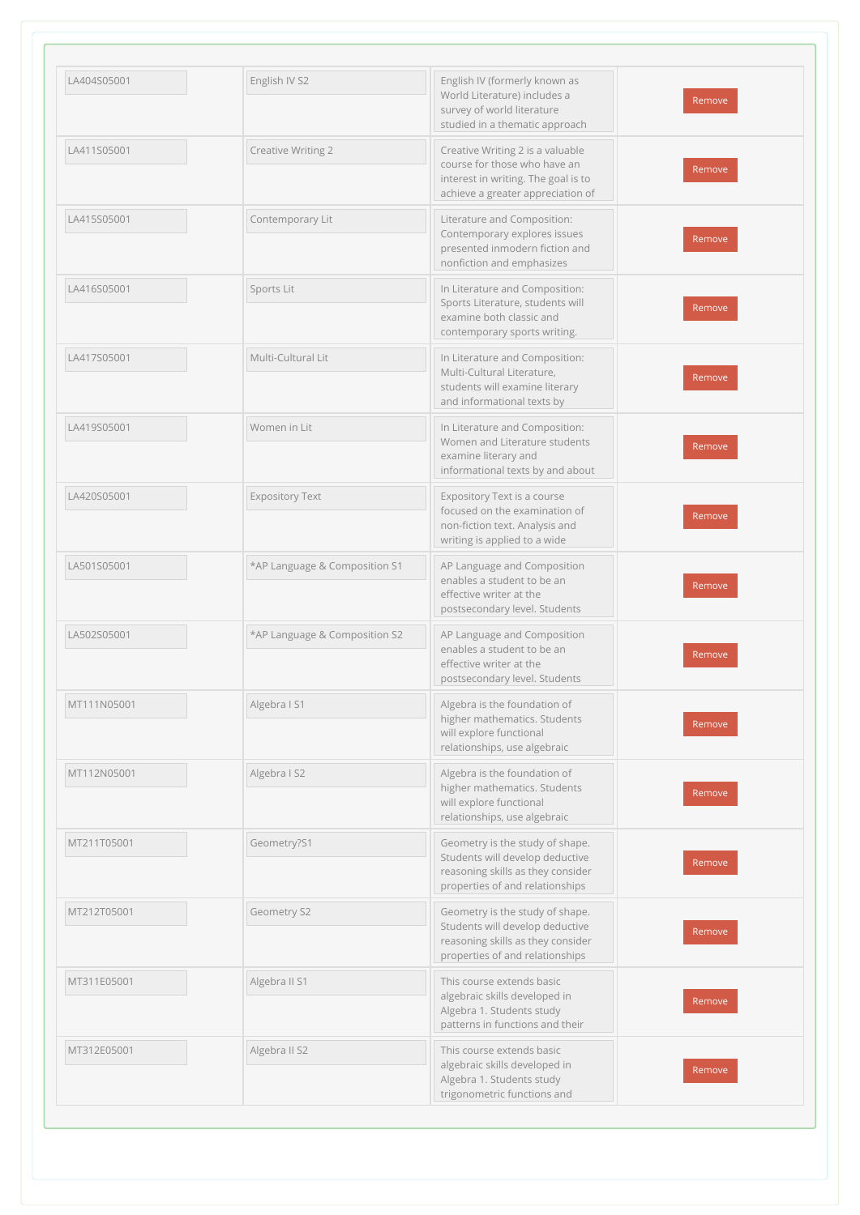| LA404S05001 | English IV S2                 | English IV (formerly known as<br>World Literature) includes a<br>survey of world literature<br>studied in a thematic approach                | Remove |
|-------------|-------------------------------|----------------------------------------------------------------------------------------------------------------------------------------------|--------|
| LA411S05001 | Creative Writing 2            | Creative Writing 2 is a valuable<br>course for those who have an<br>interest in writing. The goal is to<br>achieve a greater appreciation of | Remove |
| LA415S05001 | Contemporary Lit              | Literature and Composition:<br>Contemporary explores issues<br>presented inmodern fiction and<br>nonfiction and emphasizes                   | Remove |
| LA416S05001 | Sports Lit                    | In Literature and Composition:<br>Sports Literature, students will<br>examine both classic and<br>contemporary sports writing.               | Remove |
| LA417S05001 | Multi-Cultural Lit            | In Literature and Composition:<br>Multi-Cultural Literature,<br>students will examine literary<br>and informational texts by                 | Remove |
| LA419S05001 | Women in Lit                  | In Literature and Composition:<br>Women and Literature students<br>examine literary and<br>informational texts by and about                  | Remove |
| LA420S05001 | <b>Expository Text</b>        | Expository Text is a course<br>focused on the examination of<br>non-fiction text. Analysis and<br>writing is applied to a wide               | Remove |
| LA501S05001 | *AP Language & Composition S1 | AP Language and Composition<br>enables a student to be an<br>effective writer at the<br>postsecondary level. Students                        | Remove |
| LA502S05001 | *AP Language & Composition S2 | AP Language and Composition<br>enables a student to be an<br>effective writer at the<br>postsecondary level. Students                        | Remove |
| MT111N05001 | Algebra I S1                  | Algebra is the foundation of<br>higher mathematics. Students<br>will explore functional<br>relationships, use algebraic                      | Remove |
| MT112N05001 | Algebra I S2                  | Algebra is the foundation of<br>higher mathematics. Students<br>will explore functional<br>relationships, use algebraic                      | Remove |
| MT211T05001 | Geometry?S1                   | Geometry is the study of shape.<br>Students will develop deductive<br>reasoning skills as they consider<br>properties of and relationships   | Remove |
| MT212T05001 | Geometry S2                   | Geometry is the study of shape.<br>Students will develop deductive<br>reasoning skills as they consider<br>properties of and relationships   | Remove |
| MT311E05001 | Algebra II S1                 | This course extends basic<br>algebraic skills developed in<br>Algebra 1. Students study<br>patterns in functions and their                   | Remove |
| MT312E05001 | Algebra II S2                 | This course extends basic<br>algebraic skills developed in<br>Algebra 1. Students study<br>trigonometric functions and                       | Remove |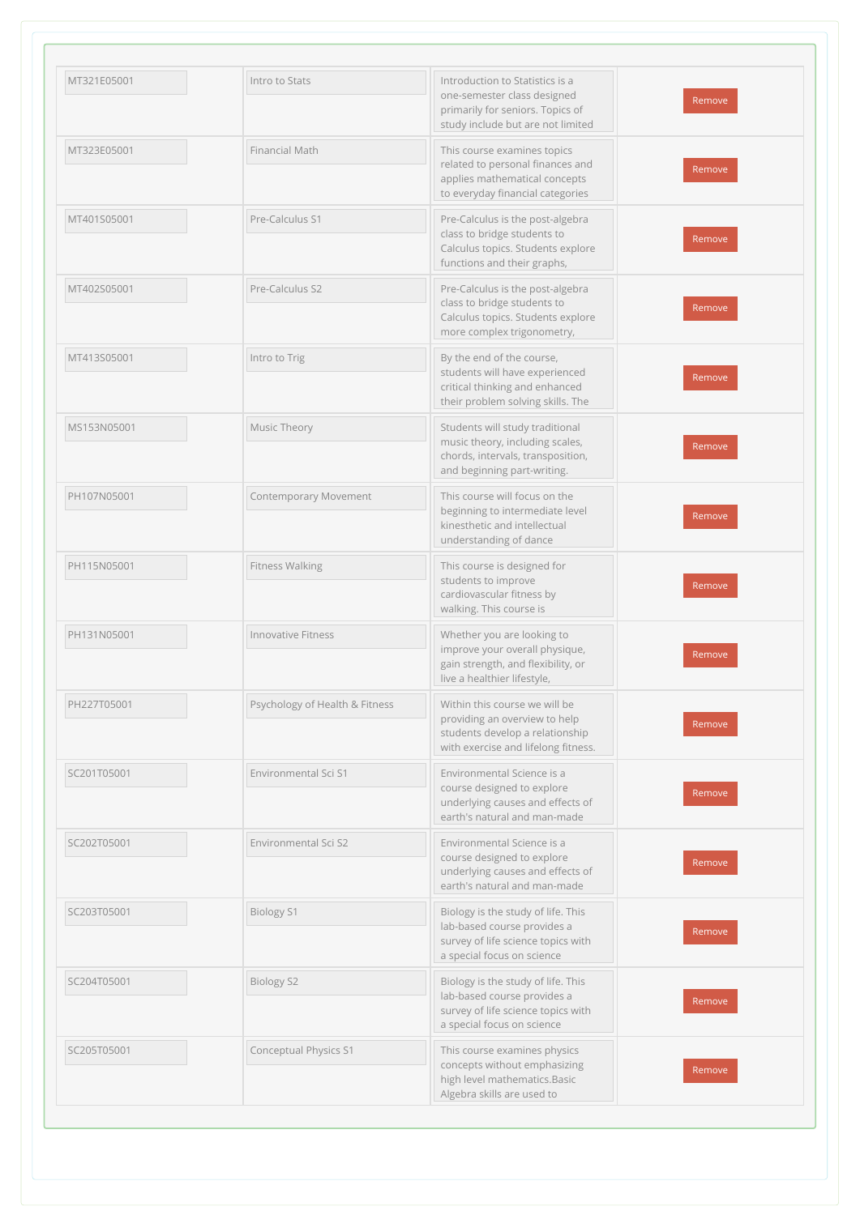| MT321E05001 | Intro to Stats                 | Introduction to Statistics is a<br>one-semester class designed<br>primarily for seniors. Topics of<br>study include but are not limited  | Remove |
|-------------|--------------------------------|------------------------------------------------------------------------------------------------------------------------------------------|--------|
| MT323E05001 | Financial Math                 | This course examines topics<br>related to personal finances and<br>applies mathematical concepts<br>to everyday financial categories     | Remove |
| MT401S05001 | Pre-Calculus S1                | Pre-Calculus is the post-algebra<br>class to bridge students to<br>Calculus topics. Students explore<br>functions and their graphs,      | Remove |
| MT402S05001 | Pre-Calculus S2                | Pre-Calculus is the post-algebra<br>class to bridge students to<br>Calculus topics. Students explore<br>more complex trigonometry,       | Remove |
| MT413S05001 | Intro to Trig                  | By the end of the course,<br>students will have experienced<br>critical thinking and enhanced<br>their problem solving skills. The       | Remove |
| MS153N05001 | Music Theory                   | Students will study traditional<br>music theory, including scales,<br>chords, intervals, transposition,<br>and beginning part-writing.   | Remove |
| PH107N05001 | <b>Contemporary Movement</b>   | This course will focus on the<br>beginning to intermediate level<br>kinesthetic and intellectual<br>understanding of dance               | Remove |
| PH115N05001 | Fitness Walking                | This course is designed for<br>students to improve<br>cardiovascular fitness by<br>walking. This course is                               | Remove |
| PH131N05001 | <b>Innovative Fitness</b>      | Whether you are looking to<br>improve your overall physique,<br>gain strength, and flexibility, or<br>live a healthier lifestyle,        | Remove |
| PH227T05001 | Psychology of Health & Fitness | Within this course we will be<br>providing an overview to help<br>students develop a relationship<br>with exercise and lifelong fitness. | Remove |
| SC201T05001 | Environmental Sci S1           | Environmental Science is a<br>course designed to explore<br>underlying causes and effects of<br>earth's natural and man-made             | Remove |
| SC202T05001 | Environmental Sci S2           | Environmental Science is a<br>course designed to explore<br>underlying causes and effects of<br>earth's natural and man-made             | Remove |
| SC203T05001 | <b>Biology S1</b>              | Biology is the study of life. This<br>lab-based course provides a<br>survey of life science topics with<br>a special focus on science    | Remove |
| SC204T05001 | <b>Biology S2</b>              | Biology is the study of life. This<br>lab-based course provides a<br>survey of life science topics with<br>a special focus on science    | Remove |
| SC205T05001 | Conceptual Physics S1          | This course examines physics<br>concepts without emphasizing<br>high level mathematics.Basic<br>Algebra skills are used to               | Remove |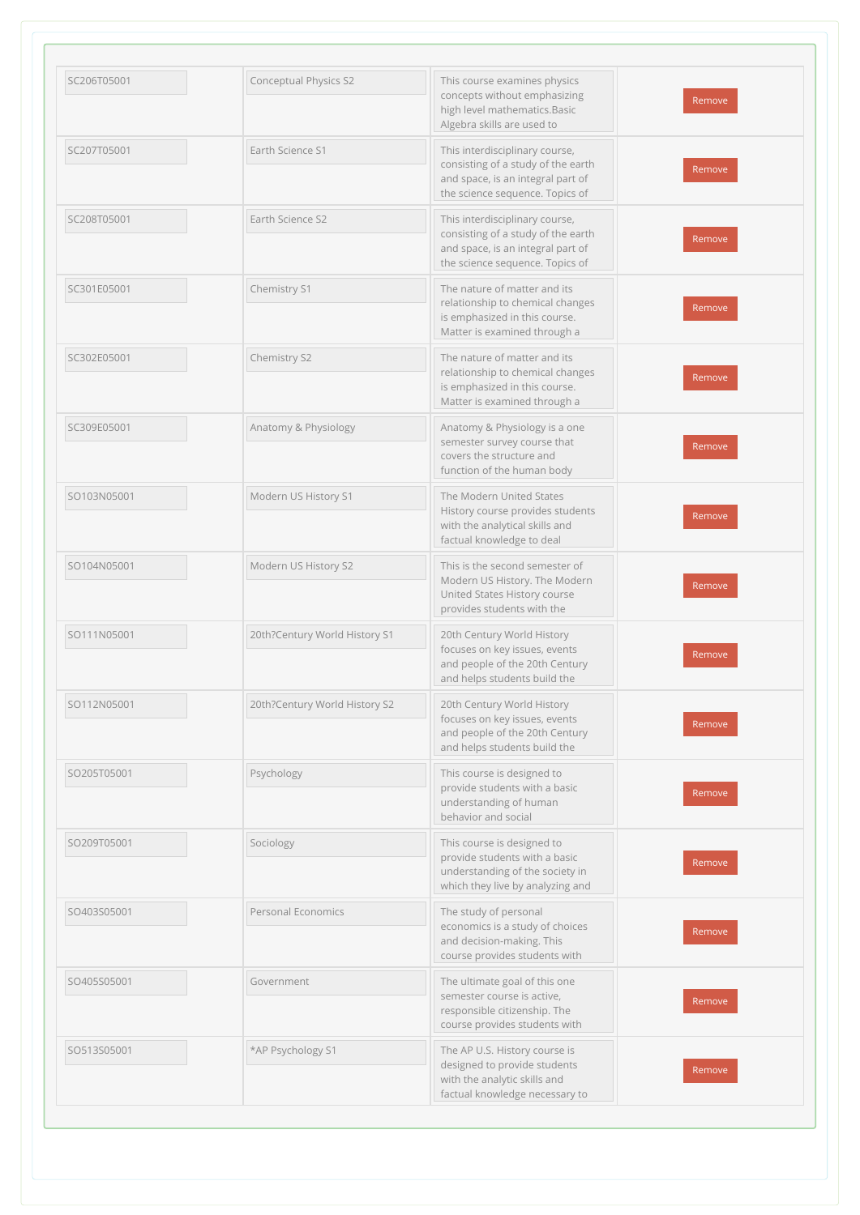| SC206T05001 | <b>Conceptual Physics S2</b>  | This course examines physics<br>concepts without emphasizing<br>high level mathematics. Basic<br>Algebra skills are used to                  | Remove |
|-------------|-------------------------------|----------------------------------------------------------------------------------------------------------------------------------------------|--------|
| SC207T05001 | Earth Science S1              | This interdisciplinary course,<br>consisting of a study of the earth<br>and space, is an integral part of<br>the science sequence. Topics of | Remove |
| SC208T05001 | Earth Science S2              | This interdisciplinary course,<br>consisting of a study of the earth<br>and space, is an integral part of<br>the science sequence. Topics of | Remove |
| SC301E05001 | Chemistry S1                  | The nature of matter and its<br>relationship to chemical changes<br>is emphasized in this course.<br>Matter is examined through a            | Remove |
| SC302E05001 | Chemistry S2                  | The nature of matter and its<br>relationship to chemical changes<br>is emphasized in this course.<br>Matter is examined through a            | Remove |
| SC309E05001 | Anatomy & Physiology          | Anatomy & Physiology is a one<br>semester survey course that<br>covers the structure and<br>function of the human body                       | Remove |
| SO103N05001 | Modern US History S1          | The Modern United States<br>History course provides students<br>with the analytical skills and<br>factual knowledge to deal                  | Remove |
| SO104N05001 | Modern US History S2          | This is the second semester of<br>Modern US History. The Modern<br>United States History course<br>provides students with the                | Remove |
| SO111N05001 | 20th?Century World History S1 | 20th Century World History<br>focuses on key issues, events<br>and people of the 20th Century<br>and helps students build the                | Remove |
| SO112N05001 | 20th?Century World History S2 | 20th Century World History<br>focuses on key issues, events<br>and people of the 20th Century<br>and helps students build the                | Remove |
| SO205T05001 | Psychology                    | This course is designed to<br>provide students with a basic<br>understanding of human<br>behavior and social                                 | Remove |
| SO209T05001 | Sociology                     | This course is designed to<br>provide students with a basic<br>understanding of the society in<br>which they live by analyzing and           | Remove |
| SO403S05001 | Personal Economics            | The study of personal<br>economics is a study of choices<br>and decision-making. This<br>course provides students with                       | Remove |
| SO405S05001 | Government                    | The ultimate goal of this one<br>semester course is active,<br>responsible citizenship. The<br>course provides students with                 | Remove |
| SO513S05001 | *AP Psychology S1             | The AP U.S. History course is<br>designed to provide students<br>with the analytic skills and<br>factual knowledge necessary to              | Remove |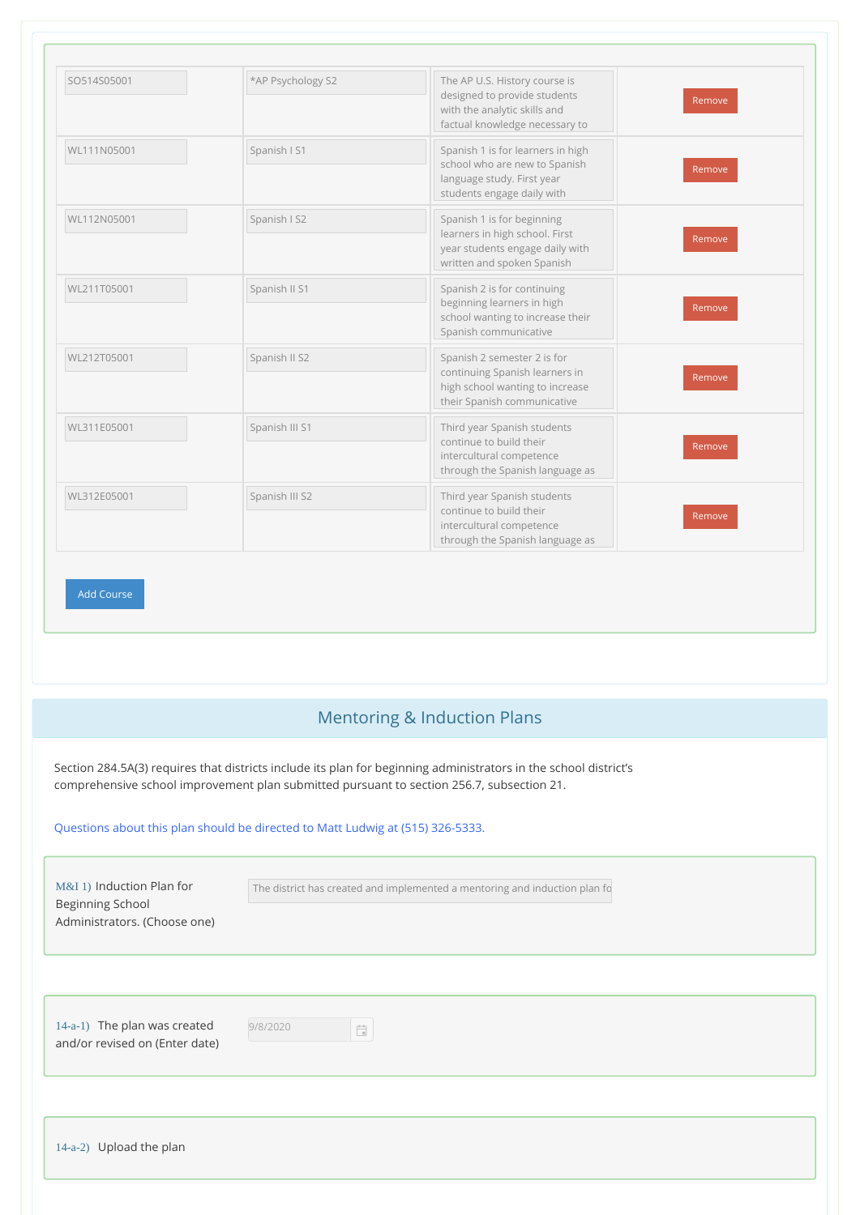| SO514S05001 | *AP Psychology S2 | The AP U.S. History course is<br>designed to provide students<br>with the analytic skills and<br>factual knowledge necessary to | Remove |
|-------------|-------------------|---------------------------------------------------------------------------------------------------------------------------------|--------|
| WL111N05001 | Spanish I S1      | Spanish 1 is for learners in high<br>school who are new to Spanish<br>language study. First year<br>students engage daily with  | Remove |
| WL112N05001 | Spanish I S2      | Spanish 1 is for beginning<br>learners in high school. First<br>year students engage daily with<br>written and spoken Spanish   | Remove |
| WL211T05001 | Spanish II S1     | Spanish 2 is for continuing<br>beginning learners in high<br>school wanting to increase their<br>Spanish communicative          | Remove |
| WL212T05001 | Spanish II S2     | Spanish 2 semester 2 is for<br>continuing Spanish learners in<br>high school wanting to increase<br>their Spanish communicative | Remove |
| WL311E05001 | Spanish III S1    | Third year Spanish students<br>continue to build their<br>intercultural competence<br>through the Spanish language as           | Remove |
| WL312E05001 | Spanish III S2    | Third year Spanish students<br>continue to build their<br>intercultural competence<br>through the Spanish language as           | Remove |

## Mentoring & Induction Plans

Section 284.5A(3) requires that districts include its plan for beginning administrators in the school district's comprehensive school improvement plan submitted pursuant to section 256.7, subsection 21.

#### Questions about this plan should be directed to Matt Ludwig at (515) 326-5333.

Add Course

| M&I 1) Induction Plan for<br><b>Beginning School</b><br>Administrators. (Choose one) | The district has created and implemented a mentoring and induction plan fo                 |
|--------------------------------------------------------------------------------------|--------------------------------------------------------------------------------------------|
|                                                                                      |                                                                                            |
| 14-a-1) The plan was created<br>and/or revised on (Enter date)                       | 9/8/2020<br>$\frac{1}{\left\vert \frac{1}{\left\vert \mathbf{q}\right\vert }\right\vert }$ |
|                                                                                      |                                                                                            |
| 14-a-2) Upload the plan                                                              |                                                                                            |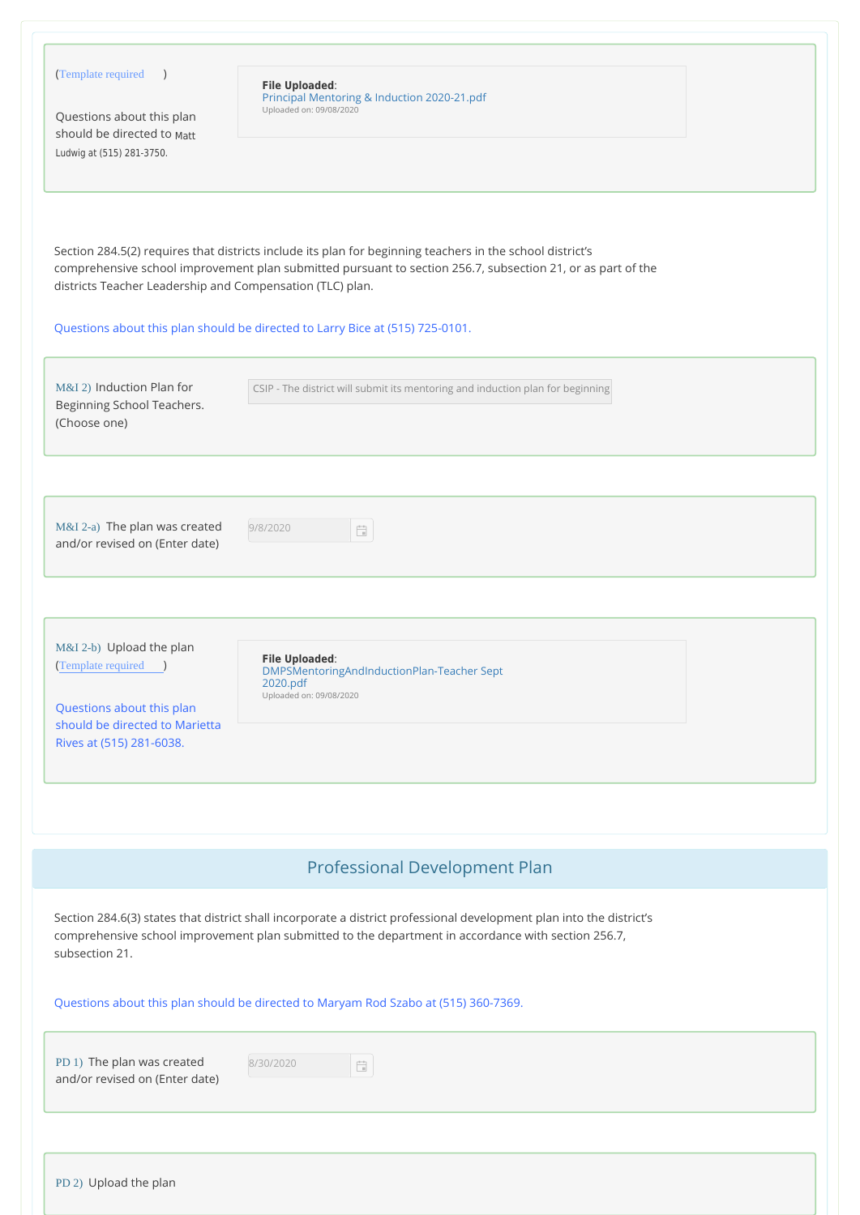| (Template required )<br>Questions about this plan<br>should be directed to Matt<br>Ludwig at (515) 281-3750.                                | <b>File Uploaded:</b><br>Principal Mentoring & Induction 2020-21.pdf<br>Uploaded on: 09/08/2020                                                                                                                             |  |
|---------------------------------------------------------------------------------------------------------------------------------------------|-----------------------------------------------------------------------------------------------------------------------------------------------------------------------------------------------------------------------------|--|
| districts Teacher Leadership and Compensation (TLC) plan.                                                                                   | Section 284.5(2) requires that districts include its plan for beginning teachers in the school district's<br>comprehensive school improvement plan submitted pursuant to section 256.7, subsection 21, or as part of the    |  |
|                                                                                                                                             | Questions about this plan should be directed to Larry Bice at (515) 725-0101.                                                                                                                                               |  |
| M&I 2) Induction Plan for<br>Beginning School Teachers.<br>(Choose one)                                                                     | CSIP - The district will submit its mentoring and induction plan for beginning                                                                                                                                              |  |
| M&I 2-a) The plan was created<br>and/or revised on (Enter date)                                                                             | 9/8/2020<br>$\frac{q-2}{\pi}$                                                                                                                                                                                               |  |
| M&I 2-b) Upload the plan<br>(Template required )<br>Questions about this plan<br>should be directed to Marietta<br>Rives at (515) 281-6038. | <b>File Uploaded:</b><br>DMPSMentoringAndInductionPlan-Teacher Sept<br>2020.pdf<br>Uploaded on: 09/08/2020                                                                                                                  |  |
|                                                                                                                                             |                                                                                                                                                                                                                             |  |
|                                                                                                                                             | Professional Development Plan                                                                                                                                                                                               |  |
| subsection 21.                                                                                                                              | Section 284.6(3) states that district shall incorporate a district professional development plan into the district's<br>comprehensive school improvement plan submitted to the department in accordance with section 256.7, |  |
|                                                                                                                                             | Questions about this plan should be directed to Maryam Rod Szabo at (515) 360-7369.                                                                                                                                         |  |
| PD 1) The plan was created<br>and/or revised on (Enter date)                                                                                | 8/30/2020<br>$\frac{1}{\left\vert \frac{1}{\left\vert \mathbf{1}\right\vert }\right\vert }$                                                                                                                                 |  |
|                                                                                                                                             |                                                                                                                                                                                                                             |  |
| $DD(0)$ Using $\overline{A}$                                                                                                                |                                                                                                                                                                                                                             |  |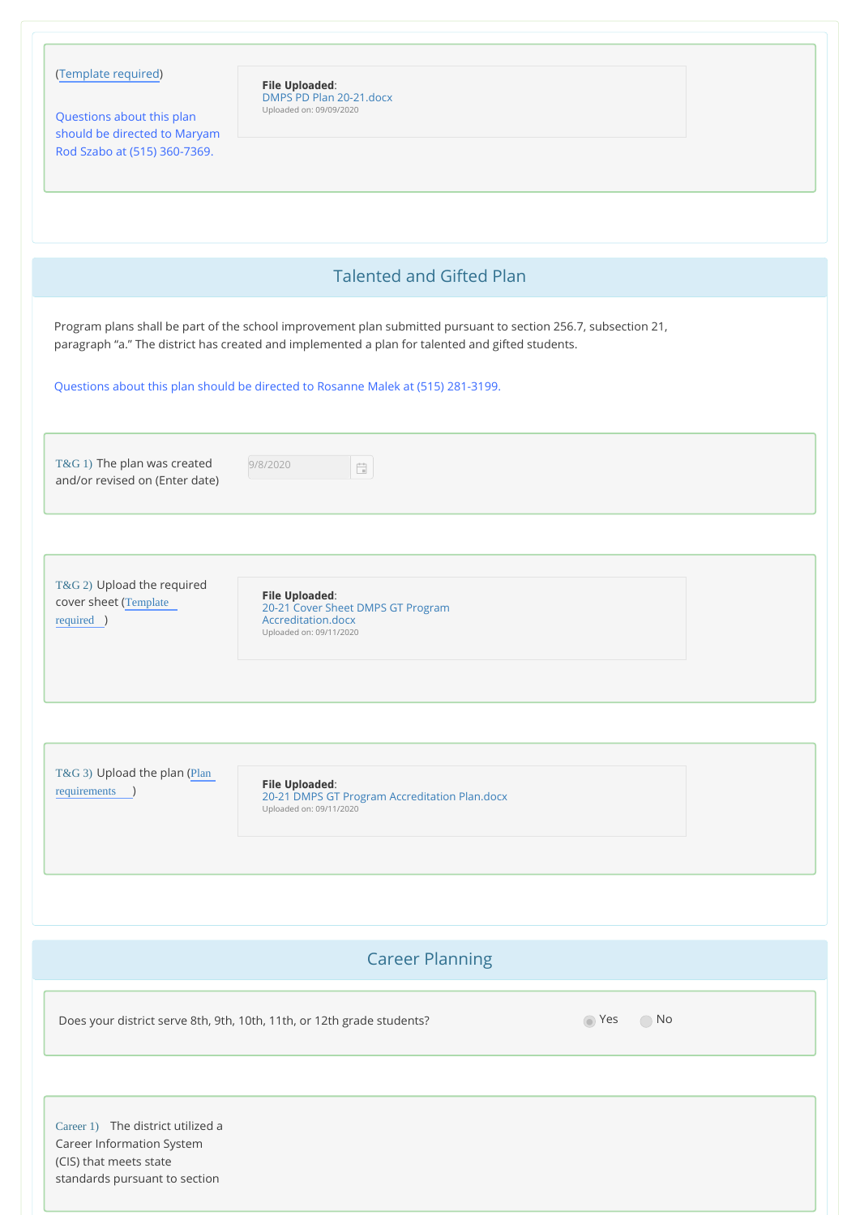| (Template required)<br>Questions about this plan<br>should be directed to Maryam<br>Rod Szabo at (515) 360-7369. | <b>File Uploaded:</b><br>DMPS PD Plan 20-21.docx<br>Uploaded on: 09/09/2020                                                                                                                                        |  |
|------------------------------------------------------------------------------------------------------------------|--------------------------------------------------------------------------------------------------------------------------------------------------------------------------------------------------------------------|--|
|                                                                                                                  | <b>Talented and Gifted Plan</b>                                                                                                                                                                                    |  |
|                                                                                                                  | Program plans shall be part of the school improvement plan submitted pursuant to section 256.7, subsection 21,<br>paragraph "a." The district has created and implemented a plan for talented and gifted students. |  |
|                                                                                                                  | Questions about this plan should be directed to Rosanne Malek at (515) 281-3199.                                                                                                                                   |  |
| T&G 1) The plan was created<br>and/or revised on (Enter date)                                                    | 9/8/2020<br>$\frac{1}{\left\vert \frac{1}{\left\vert \mathbf{q}\right\vert }\right\vert }$                                                                                                                         |  |
| T&G 2) Upload the required<br>cover sheet (Template<br>required )                                                | <b>File Uploaded:</b><br>20-21 Cover Sheet DMPS GT Program<br>Accreditation.docx<br>Uploaded on: 09/11/2020                                                                                                        |  |
| T&G 3) Upload the plan (Plan<br>requirements )                                                                   | <b>File Uploaded:</b><br>20-21 DMPS GT Program Accreditation Plan.docx<br>Uploaded on: 09/11/2020                                                                                                                  |  |

# Career Planning

Does your district serve 8th, 9th, 10th, 11th, or 12th grade students? No No No

Career 1) The district utilized a Career Information System (CIS) that meets state standards pursuant to section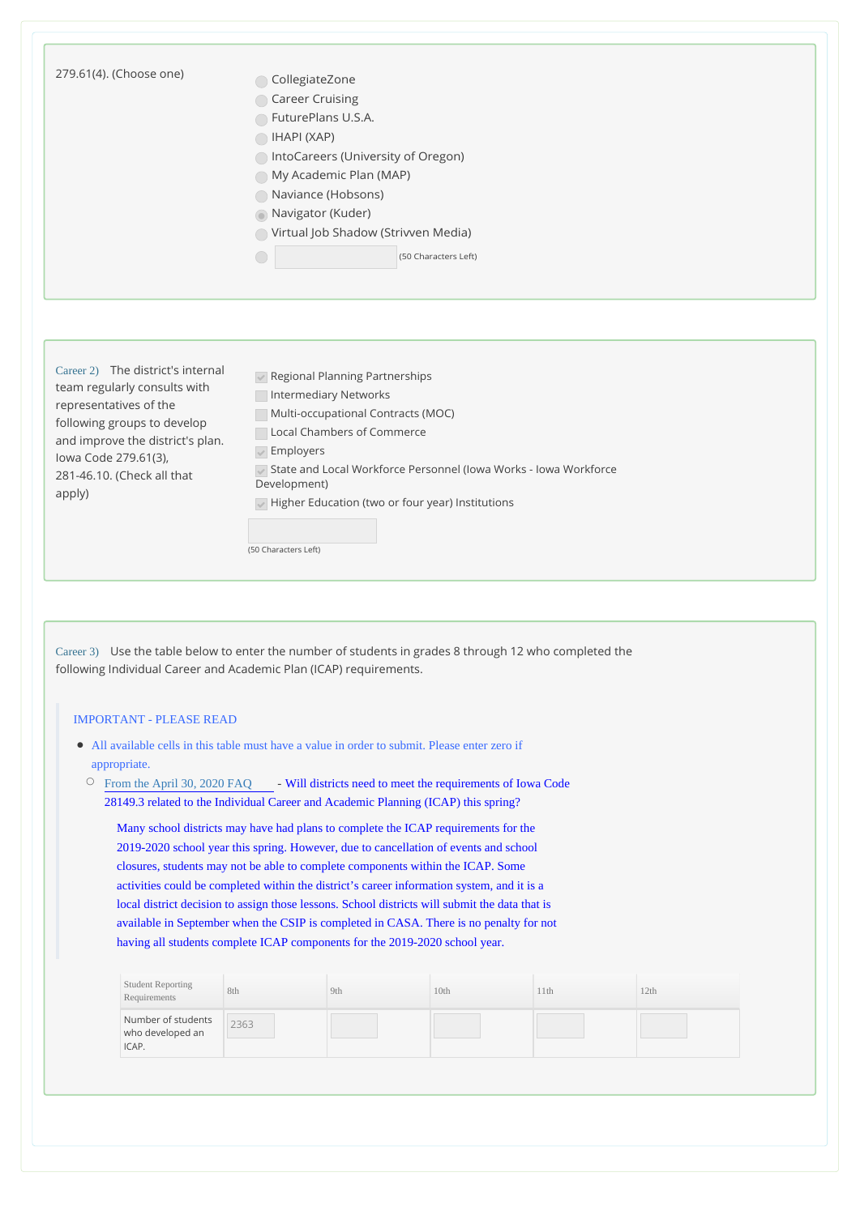| 279.61(4). (Choose one)                                                                                                                                                                                                | CollegiateZone                                                                                                                                                                               |     |      |      |      |  |  |  |                                                                                                                                                                                                                                |                                                                                                                                                                                                                                                                                              |                                     |                      |  |  |  |
|------------------------------------------------------------------------------------------------------------------------------------------------------------------------------------------------------------------------|----------------------------------------------------------------------------------------------------------------------------------------------------------------------------------------------|-----|------|------|------|--|--|--|--------------------------------------------------------------------------------------------------------------------------------------------------------------------------------------------------------------------------------|----------------------------------------------------------------------------------------------------------------------------------------------------------------------------------------------------------------------------------------------------------------------------------------------|-------------------------------------|----------------------|--|--|--|
|                                                                                                                                                                                                                        | Career Cruising                                                                                                                                                                              |     |      |      |      |  |  |  |                                                                                                                                                                                                                                |                                                                                                                                                                                                                                                                                              |                                     |                      |  |  |  |
|                                                                                                                                                                                                                        | FuturePlans U.S.A.<br>$\bigcap$ IHAPI (XAP)<br>ntoCareers (University of Oregon)<br>My Academic Plan (MAP)<br>Naviance (Hobsons)                                                             |     |      |      |      |  |  |  |                                                                                                                                                                                                                                |                                                                                                                                                                                                                                                                                              |                                     |                      |  |  |  |
|                                                                                                                                                                                                                        |                                                                                                                                                                                              |     |      |      |      |  |  |  | Navigator (Kuder)                                                                                                                                                                                                              |                                                                                                                                                                                                                                                                                              |                                     |                      |  |  |  |
|                                                                                                                                                                                                                        |                                                                                                                                                                                              |     |      |      |      |  |  |  |                                                                                                                                                                                                                                |                                                                                                                                                                                                                                                                                              | Virtual Job Shadow (Strivven Media) |                      |  |  |  |
|                                                                                                                                                                                                                        |                                                                                                                                                                                              |     |      |      |      |  |  |  |                                                                                                                                                                                                                                |                                                                                                                                                                                                                                                                                              |                                     | (50 Characters Left) |  |  |  |
|                                                                                                                                                                                                                        |                                                                                                                                                                                              |     |      |      |      |  |  |  | Career 2) The district's internal<br>team regularly consults with<br>representatives of the<br>following groups to develop<br>and improve the district's plan.<br>lowa Code 279.61(3),<br>281-46.10. (Check all that<br>apply) | Regional Planning Partnerships<br>Intermediary Networks<br>Multi-occupational Contracts (MOC)<br>Local Chambers of Commerce<br>$\sqrt{\ }$ Employers<br>State and Local Workforce Personnel (Iowa Works - Iowa Workforce<br>Development)<br>Higher Education (two or four year) Institutions |                                     |                      |  |  |  |
|                                                                                                                                                                                                                        |                                                                                                                                                                                              |     |      |      |      |  |  |  |                                                                                                                                                                                                                                |                                                                                                                                                                                                                                                                                              |                                     |                      |  |  |  |
|                                                                                                                                                                                                                        | (50 Characters Left)                                                                                                                                                                         |     |      |      |      |  |  |  |                                                                                                                                                                                                                                |                                                                                                                                                                                                                                                                                              |                                     |                      |  |  |  |
|                                                                                                                                                                                                                        |                                                                                                                                                                                              |     |      |      |      |  |  |  |                                                                                                                                                                                                                                |                                                                                                                                                                                                                                                                                              |                                     |                      |  |  |  |
|                                                                                                                                                                                                                        |                                                                                                                                                                                              |     |      |      |      |  |  |  |                                                                                                                                                                                                                                |                                                                                                                                                                                                                                                                                              |                                     |                      |  |  |  |
| <b>IMPORTANT - PLEASE READ</b>                                                                                                                                                                                         |                                                                                                                                                                                              |     |      |      |      |  |  |  |                                                                                                                                                                                                                                |                                                                                                                                                                                                                                                                                              |                                     |                      |  |  |  |
| • All available cells in this table must have a value in order to submit. Please enter zero if                                                                                                                         |                                                                                                                                                                                              |     |      |      |      |  |  |  |                                                                                                                                                                                                                                |                                                                                                                                                                                                                                                                                              |                                     |                      |  |  |  |
| appropriate.                                                                                                                                                                                                           |                                                                                                                                                                                              |     |      |      |      |  |  |  |                                                                                                                                                                                                                                |                                                                                                                                                                                                                                                                                              |                                     |                      |  |  |  |
| From the April 30, 2020 FAQ - Will districts need to meet the requirements of Iowa Code<br>$\circ$                                                                                                                     |                                                                                                                                                                                              |     |      |      |      |  |  |  |                                                                                                                                                                                                                                |                                                                                                                                                                                                                                                                                              |                                     |                      |  |  |  |
| 281 49.3 related to the Individual Career and Academic Planning (ICAP) this spring?                                                                                                                                    |                                                                                                                                                                                              |     |      |      |      |  |  |  |                                                                                                                                                                                                                                |                                                                                                                                                                                                                                                                                              |                                     |                      |  |  |  |
|                                                                                                                                                                                                                        |                                                                                                                                                                                              |     |      |      |      |  |  |  |                                                                                                                                                                                                                                |                                                                                                                                                                                                                                                                                              |                                     |                      |  |  |  |
|                                                                                                                                                                                                                        | Many school districts may have had plans to complete the ICAP requirements for the                                                                                                           |     |      |      |      |  |  |  |                                                                                                                                                                                                                                |                                                                                                                                                                                                                                                                                              |                                     |                      |  |  |  |
|                                                                                                                                                                                                                        | 2019-2020 school year this spring. However, due to cancellation of events and school                                                                                                         |     |      |      |      |  |  |  |                                                                                                                                                                                                                                |                                                                                                                                                                                                                                                                                              |                                     |                      |  |  |  |
|                                                                                                                                                                                                                        | closures, students may not be able to complete components within the ICAP. Some                                                                                                              |     |      |      |      |  |  |  |                                                                                                                                                                                                                                |                                                                                                                                                                                                                                                                                              |                                     |                      |  |  |  |
|                                                                                                                                                                                                                        | activities could be completed within the district's career information system, and it is a<br>local district decision to assign those lessons. School districts will submit the data that is |     |      |      |      |  |  |  |                                                                                                                                                                                                                                |                                                                                                                                                                                                                                                                                              |                                     |                      |  |  |  |
|                                                                                                                                                                                                                        | available in September when the CSIP is completed in CASA. There is no penalty for not                                                                                                       |     |      |      |      |  |  |  |                                                                                                                                                                                                                                |                                                                                                                                                                                                                                                                                              |                                     |                      |  |  |  |
|                                                                                                                                                                                                                        |                                                                                                                                                                                              |     |      |      |      |  |  |  |                                                                                                                                                                                                                                |                                                                                                                                                                                                                                                                                              |                                     |                      |  |  |  |
|                                                                                                                                                                                                                        | having all students complete ICAP components for the 2019-2020 school year.                                                                                                                  |     |      |      |      |  |  |  |                                                                                                                                                                                                                                |                                                                                                                                                                                                                                                                                              |                                     |                      |  |  |  |
|                                                                                                                                                                                                                        |                                                                                                                                                                                              |     |      |      |      |  |  |  |                                                                                                                                                                                                                                |                                                                                                                                                                                                                                                                                              |                                     |                      |  |  |  |
| <b>Student Reporting</b><br>Requirements                                                                                                                                                                               | 8th                                                                                                                                                                                          | 9th | 10th | 11th | 12th |  |  |  |                                                                                                                                                                                                                                |                                                                                                                                                                                                                                                                                              |                                     |                      |  |  |  |
| Career 3) Use the table below to enter the number of students in grades 8 through 12 who completed the<br>following Individual Career and Academic Plan (ICAP) requirements.<br>Number of students<br>who developed an | 2363                                                                                                                                                                                         |     |      |      |      |  |  |  |                                                                                                                                                                                                                                |                                                                                                                                                                                                                                                                                              |                                     |                      |  |  |  |